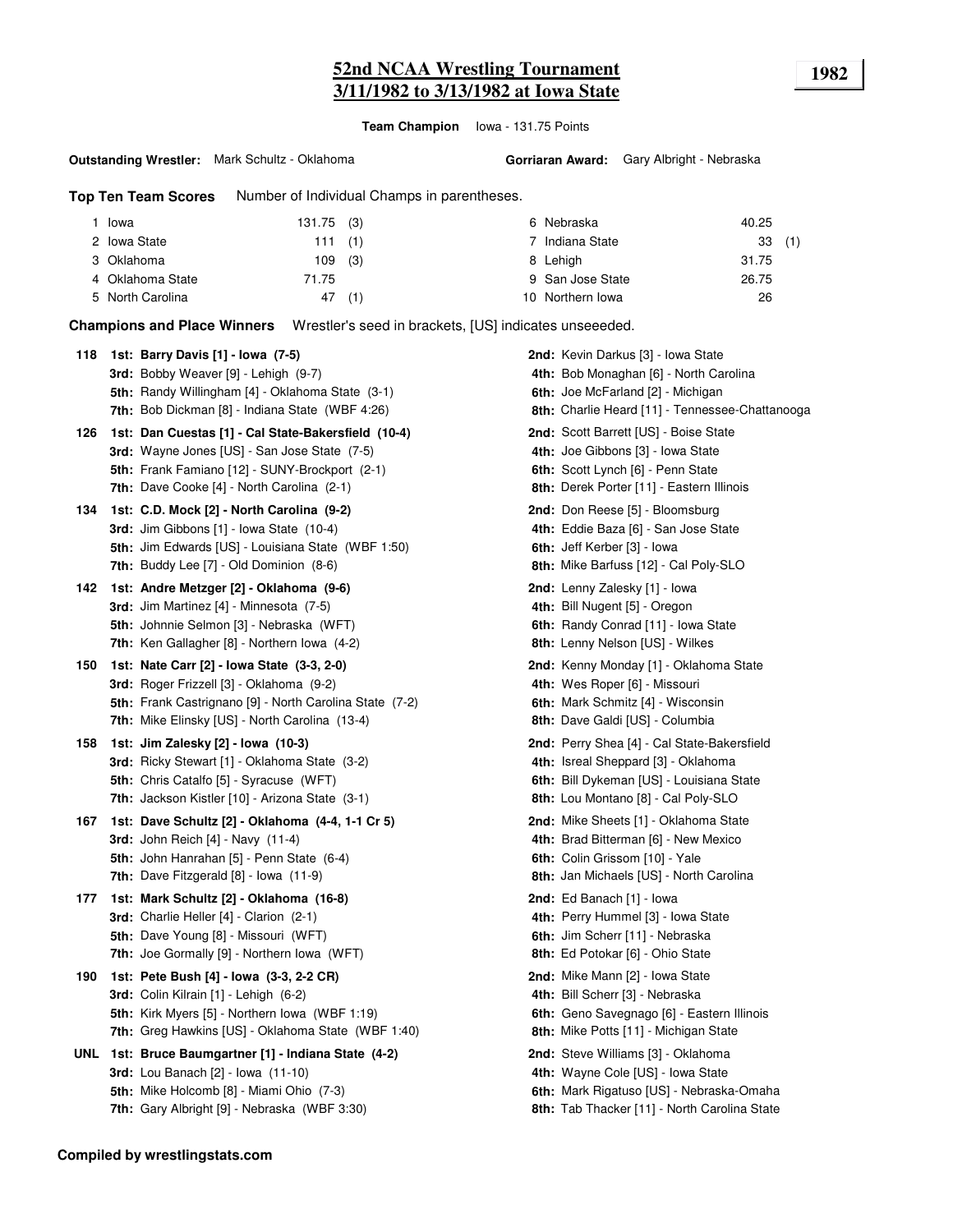# **52nd NCAA Wrestling Tournament 1982 3/11/1982 to 3/13/1982 at Iowa State**

**Team Champion** Iowa - 131.75 Points

#### **Outstanding Wrestler:** Mark Schultz - Oklahoma

**Top Ten Team Scores** Number of Individual Champs in parentheses.

| Iowa             | $131.75$ (3) |  | 6 Nebraska       | 40.25 |  |
|------------------|--------------|--|------------------|-------|--|
| 2 Iowa State     | 111(1)       |  | 7 Indiana State  | 33(1) |  |
| 3 Oklahoma       | $109$ (3)    |  | 8 Lehigh         | 31.75 |  |
| 4 Oklahoma State | 71.75        |  | 9 San Jose State | 26.75 |  |
| 5 North Carolina | 47 (1)       |  | 10 Northern Iowa | 26    |  |

**Champions and Place Winners** Wrestler's seed in brackets, [US] indicates unseeeded.

| 118 | 1st: Barry Davis [1] - Iowa (7-5)                       | 2nd: Kevin Darkus [3] - Iowa State                  |
|-----|---------------------------------------------------------|-----------------------------------------------------|
|     | 3rd: Bobby Weaver [9] - Lehigh (9-7)                    | 4th: Bob Monaghan [6] - North Carolina              |
|     | 5th: Randy Willingham [4] - Oklahoma State (3-1)        | 6th: Joe McFarland [2] - Michigan                   |
|     | 7th: Bob Dickman [8] - Indiana State (WBF 4:26)         | 8th: Charlie Heard [11] - Tennessee-Chattanooga     |
| 126 | 1st: Dan Cuestas [1] - Cal State-Bakersfield (10-4)     | <b>2nd:</b> Scott Barrett [US] - Boise State        |
|     | 3rd: Wayne Jones [US] - San Jose State (7-5)            | 4th: Joe Gibbons [3] - Iowa State                   |
|     | 5th: Frank Famiano [12] - SUNY-Brockport (2-1)          | 6th: Scott Lynch [6] - Penn State                   |
|     | 7th: Dave Cooke [4] - North Carolina (2-1)              | 8th: Derek Porter [11] - Eastern Illinois           |
| 134 | 1st: C.D. Mock [2] - North Carolina (9-2)               | 2nd: Don Reese [5] - Bloomsburg                     |
|     | 3rd: Jim Gibbons [1] - Iowa State (10-4)                | 4th: Eddie Baza [6] - San Jose State                |
|     | 5th: Jim Edwards [US] - Louisiana State (WBF 1:50)      | 6th: Jeff Kerber [3] - Iowa                         |
|     | <b>7th:</b> Buddy Lee [7] - Old Dominion (8-6)          | <b>8th:</b> Mike Barfuss [12] - Cal Poly-SLO        |
| 142 | 1st: Andre Metzger [2] - Oklahoma (9-6)                 | 2nd: Lenny Zalesky [1] - Iowa                       |
|     | 3rd: Jim Martinez [4] - Minnesota (7-5)                 | 4th: Bill Nugent [5] - Oregon                       |
|     | 5th: Johnnie Selmon [3] - Nebraska (WFT)                | 6th: Randy Conrad [11] - Iowa State                 |
|     | 7th: Ken Gallagher [8] - Northern Iowa (4-2)            | 8th: Lenny Nelson [US] - Wilkes                     |
| 150 | 1st: Nate Carr [2] - Iowa State (3-3, 2-0)              | 2nd: Kenny Monday [1] - Oklahoma State              |
|     | <b>3rd:</b> Roger Frizzell [3] - Oklahoma (9-2)         | 4th: Wes Roper [6] - Missouri                       |
|     | 5th: Frank Castrignano [9] - North Carolina State (7-2) | 6th: Mark Schmitz [4] - Wisconsin                   |
|     | 7th: Mike Elinsky [US] - North Carolina (13-4)          | 8th: Dave Galdi [US] - Columbia                     |
| 158 | 1st: Jim Zalesky [2] - Iowa (10-3)                      | <b>2nd:</b> Perry Shea [4] - Cal State-Bakersfield  |
|     | 3rd: Ricky Stewart [1] - Oklahoma State (3-2)           | 4th: Isreal Sheppard [3] - Oklahoma                 |
|     | <b>5th:</b> Chris Catalfo [5] - Syracuse (WFT)          | 6th: Bill Dykeman [US] - Louisiana State            |
|     | 7th: Jackson Kistler [10] - Arizona State (3-1)         | 8th: Lou Montano [8] - Cal Poly-SLO                 |
| 167 | 1st: Dave Schultz [2] - Oklahoma (4-4, 1-1 Cr 5)        | 2nd: Mike Sheets [1] - Oklahoma State               |
|     | <b>3rd:</b> John Reich [4] - Navy (11-4)                | 4th: Brad Bitterman [6] - New Mexico                |
|     | <b>5th:</b> John Hanrahan [5] - Penn State (6-4)        | 6th: Colin Grissom [10] - Yale                      |
|     | <b>7th:</b> Dave Fitzgerald $[8]$ - lowa $(11-9)$       | <b>8th: Jan Michaels [US] - North Carolina</b>      |
| 177 | 1st: Mark Schultz [2] - Oklahoma (16-8)                 | 2nd: Ed Banach [1] - lowa                           |
|     | 3rd: Charlie Heller [4] - Clarion (2-1)                 | 4th: Perry Hummel [3] - Iowa State                  |
|     | <b>5th:</b> Dave Young [8] - Missouri (WFT)             | 6th: Jim Scherr [11] - Nebraska                     |
|     | <b>7th:</b> Joe Gormally [9] - Northern Iowa (WFT)      | 8th: Ed Potokar [6] - Ohio State                    |
| 190 | 1st: Pete Bush [4] - Iowa (3-3, 2-2 CR)                 | <b>2nd:</b> Mike Mann [2] - Iowa State              |
|     | 3rd: Colin Kilrain [1] - Lehigh (6-2)                   | 4th: Bill Scherr [3] - Nebraska                     |
|     | <b>5th:</b> Kirk Myers [5] - Northern Iowa (WBF 1:19)   | 6th: Geno Savegnago [6] - Eastern Illinois          |
|     | 7th: Greg Hawkins [US] - Oklahoma State (WBF 1:40)      | 8th: Mike Potts [11] - Michigan State               |
|     | UNL 1st: Bruce Baumgartner [1] - Indiana State (4-2)    | <b>2nd:</b> Steve Williams [3] - Oklahoma           |
|     | 3rd: Lou Banach [2] - Iowa (11-10)                      | 4th: Wayne Cole [US] - Iowa State                   |
|     | 5th: Mike Holcomb [8] - Miami Ohio (7-3)                | 6th: Mark Rigatuso [US] - Nebraska-Omaha            |
|     | 7th: Gary Albright [9] - Nebraska (WBF 3:30)            | <b>8th:</b> Tab Thacker [11] - North Carolina State |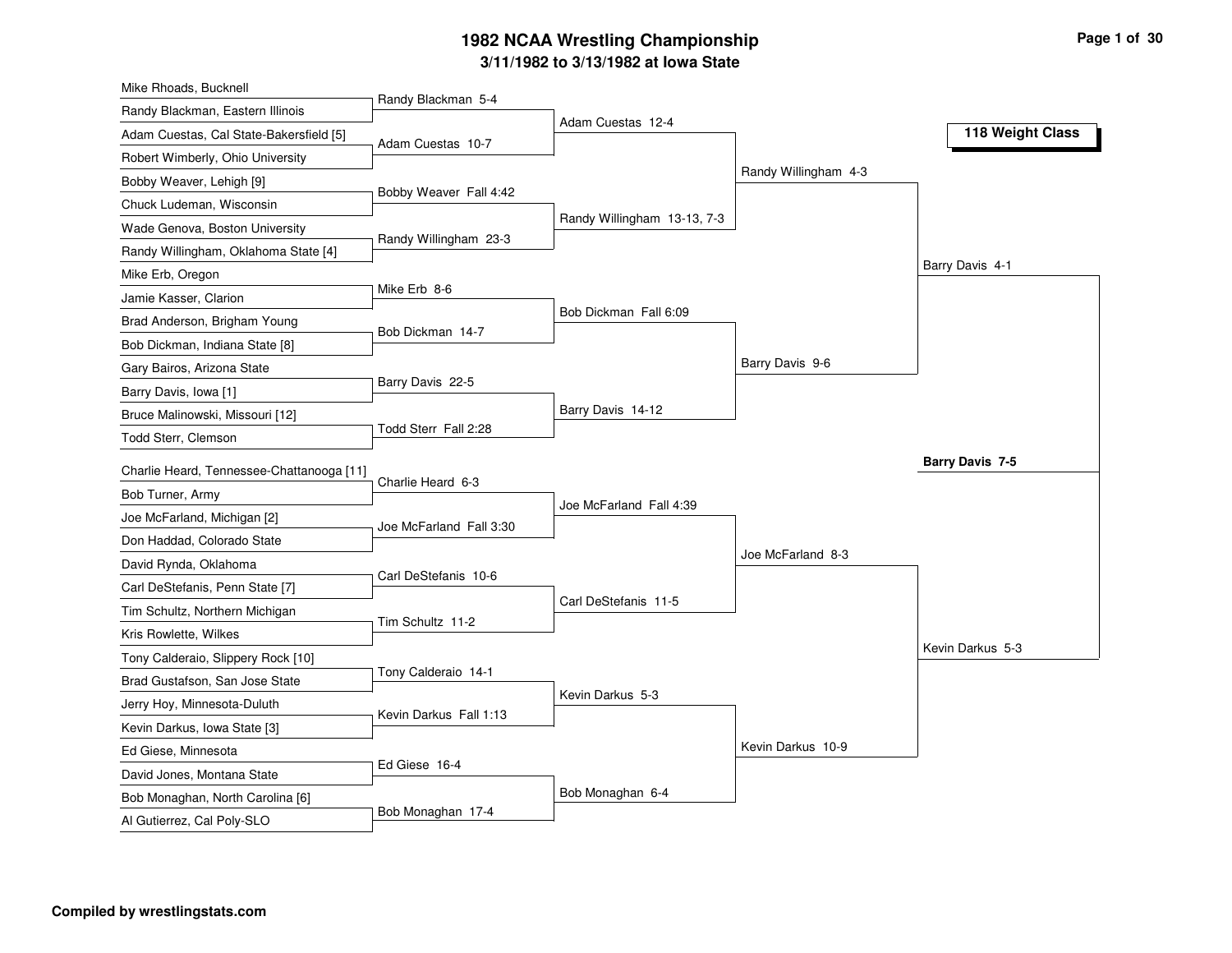#### **3/11/1982 to 3/13/1982 at Iowa State 1982 NCAA Wrestling Championship Page <sup>1</sup> of <sup>30</sup>**

|                                           |                                                                                                                                                                            |                                                                                               | 118 Weight Class                          |
|-------------------------------------------|----------------------------------------------------------------------------------------------------------------------------------------------------------------------------|-----------------------------------------------------------------------------------------------|-------------------------------------------|
|                                           |                                                                                                                                                                            |                                                                                               |                                           |
|                                           |                                                                                                                                                                            |                                                                                               |                                           |
|                                           |                                                                                                                                                                            |                                                                                               |                                           |
|                                           |                                                                                                                                                                            |                                                                                               |                                           |
|                                           |                                                                                                                                                                            |                                                                                               |                                           |
|                                           |                                                                                                                                                                            |                                                                                               | Barry Davis 4-1                           |
|                                           |                                                                                                                                                                            |                                                                                               |                                           |
|                                           |                                                                                                                                                                            |                                                                                               |                                           |
|                                           |                                                                                                                                                                            |                                                                                               |                                           |
|                                           |                                                                                                                                                                            | Barry Davis 9-6                                                                               |                                           |
|                                           |                                                                                                                                                                            |                                                                                               |                                           |
|                                           | Barry Davis 14-12                                                                                                                                                          |                                                                                               |                                           |
|                                           |                                                                                                                                                                            |                                                                                               |                                           |
| Charlie Heard, Tennessee-Chattanooga [11] |                                                                                                                                                                            |                                                                                               | <b>Barry Davis 7-5</b>                    |
| Charlie Heard 6-3                         |                                                                                                                                                                            |                                                                                               |                                           |
|                                           | Joe McFarland Fall 4:39                                                                                                                                                    |                                                                                               |                                           |
| Joe McFarland Fall 3:30                   |                                                                                                                                                                            |                                                                                               |                                           |
|                                           |                                                                                                                                                                            | Joe McFarland 8-3                                                                             |                                           |
| Carl DeStefanis 10-6                      |                                                                                                                                                                            |                                                                                               |                                           |
|                                           | Carl DeStefanis 11-5                                                                                                                                                       |                                                                                               |                                           |
| Tim Schultz 11-2                          |                                                                                                                                                                            |                                                                                               |                                           |
|                                           |                                                                                                                                                                            |                                                                                               | Kevin Darkus 5-3                          |
| Tony Calderaio 14-1                       |                                                                                                                                                                            |                                                                                               |                                           |
|                                           | Kevin Darkus 5-3                                                                                                                                                           |                                                                                               |                                           |
| Kevin Darkus Fall 1:13                    |                                                                                                                                                                            |                                                                                               |                                           |
|                                           |                                                                                                                                                                            |                                                                                               |                                           |
| Ed Giese 16-4                             |                                                                                                                                                                            |                                                                                               |                                           |
|                                           |                                                                                                                                                                            |                                                                                               |                                           |
|                                           |                                                                                                                                                                            |                                                                                               |                                           |
|                                           | Randy Blackman 5-4<br>Adam Cuestas 10-7<br>Bobby Weaver Fall 4:42<br>Randy Willingham 23-3<br>Mike Erb 8-6<br>Bob Dickman 14-7<br>Barry Davis 22-5<br>Todd Sterr Fall 2:28 | Adam Cuestas 12-4<br>Randy Willingham 13-13, 7-3<br>Bob Dickman Fall 6:09<br>Bob Monaghan 6-4 | Randy Willingham 4-3<br>Kevin Darkus 10-9 |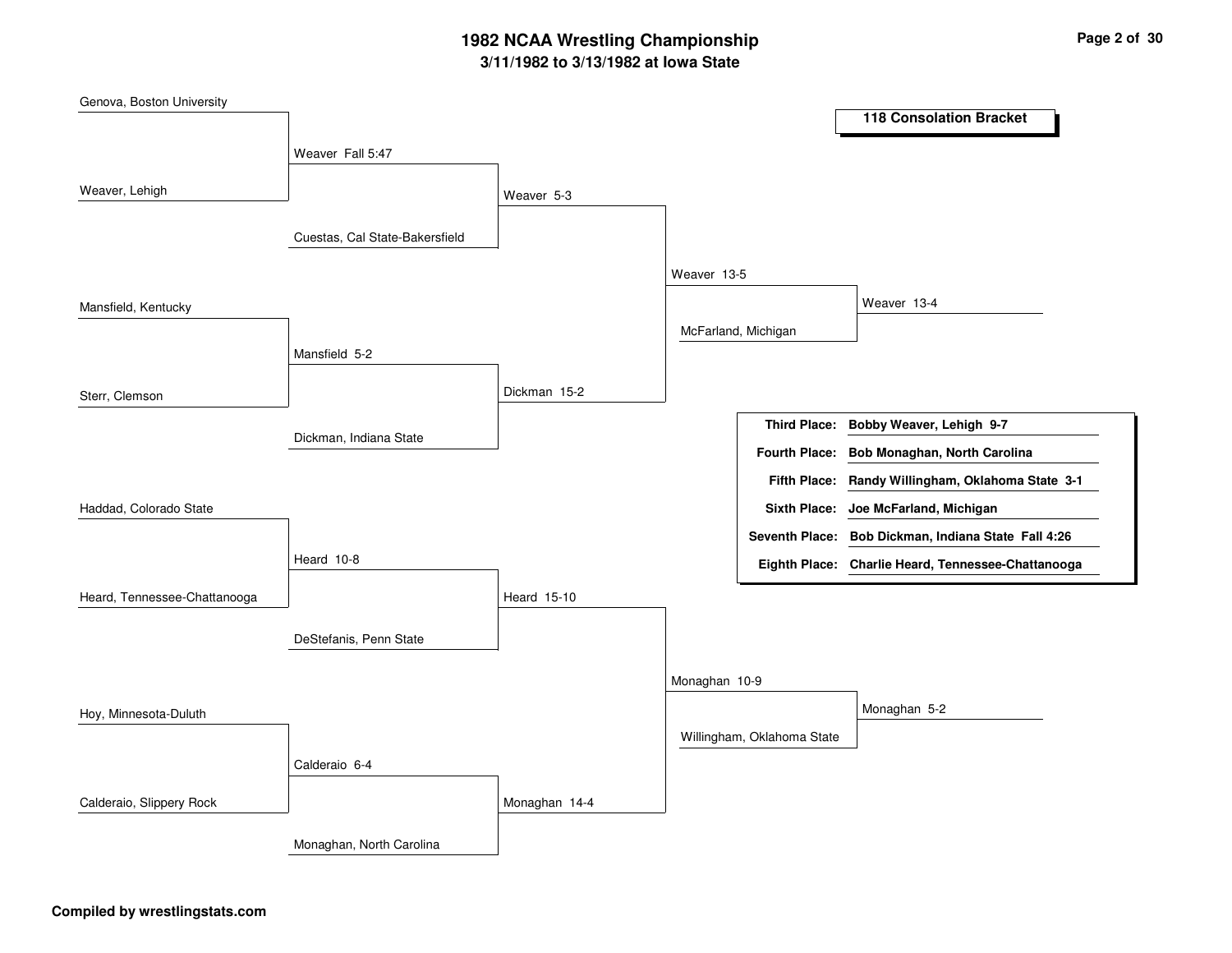## **3/11/1982 to 3/13/1982 at Iowa State 1982 NCAA Wrestling Championship Page <sup>2</sup> of <sup>30</sup>**

| Genova, Boston University    |                                |               |               |                            |                                                     |
|------------------------------|--------------------------------|---------------|---------------|----------------------------|-----------------------------------------------------|
|                              |                                |               |               |                            | <b>118 Consolation Bracket</b>                      |
|                              | Weaver Fall 5:47               |               |               |                            |                                                     |
| Weaver, Lehigh               |                                |               |               |                            |                                                     |
|                              |                                | Weaver 5-3    |               |                            |                                                     |
|                              | Cuestas, Cal State-Bakersfield |               |               |                            |                                                     |
|                              |                                |               | Weaver 13-5   |                            |                                                     |
| Mansfield, Kentucky          |                                |               |               |                            | Weaver 13-4                                         |
|                              |                                |               |               | McFarland, Michigan        |                                                     |
|                              | Mansfield 5-2                  |               |               |                            |                                                     |
| Sterr, Clemson               |                                | Dickman 15-2  |               |                            |                                                     |
|                              |                                |               |               | <b>Third Place:</b>        | Bobby Weaver, Lehigh 9-7                            |
|                              | Dickman, Indiana State         |               |               | <b>Fourth Place:</b>       | Bob Monaghan, North Carolina                        |
|                              |                                |               |               | <b>Fifth Place:</b>        | Randy Willingham, Oklahoma State 3-1                |
| Haddad, Colorado State       |                                |               |               |                            | Sixth Place: Joe McFarland, Michigan                |
|                              |                                |               |               |                            | Seventh Place: Bob Dickman, Indiana State Fall 4:26 |
|                              | Heard 10-8                     |               |               |                            | Eighth Place: Charlie Heard, Tennessee-Chattanooga  |
| Heard, Tennessee-Chattanooga |                                | Heard 15-10   |               |                            |                                                     |
|                              |                                |               |               |                            |                                                     |
|                              | DeStefanis, Penn State         |               |               |                            |                                                     |
|                              |                                |               | Monaghan 10-9 |                            |                                                     |
| Hoy, Minnesota-Duluth        |                                |               |               |                            | Monaghan 5-2                                        |
|                              |                                |               |               | Willingham, Oklahoma State |                                                     |
|                              | Calderaio 6-4                  |               |               |                            |                                                     |
| Calderaio, Slippery Rock     |                                | Monaghan 14-4 |               |                            |                                                     |
|                              | Monaghan, North Carolina       |               |               |                            |                                                     |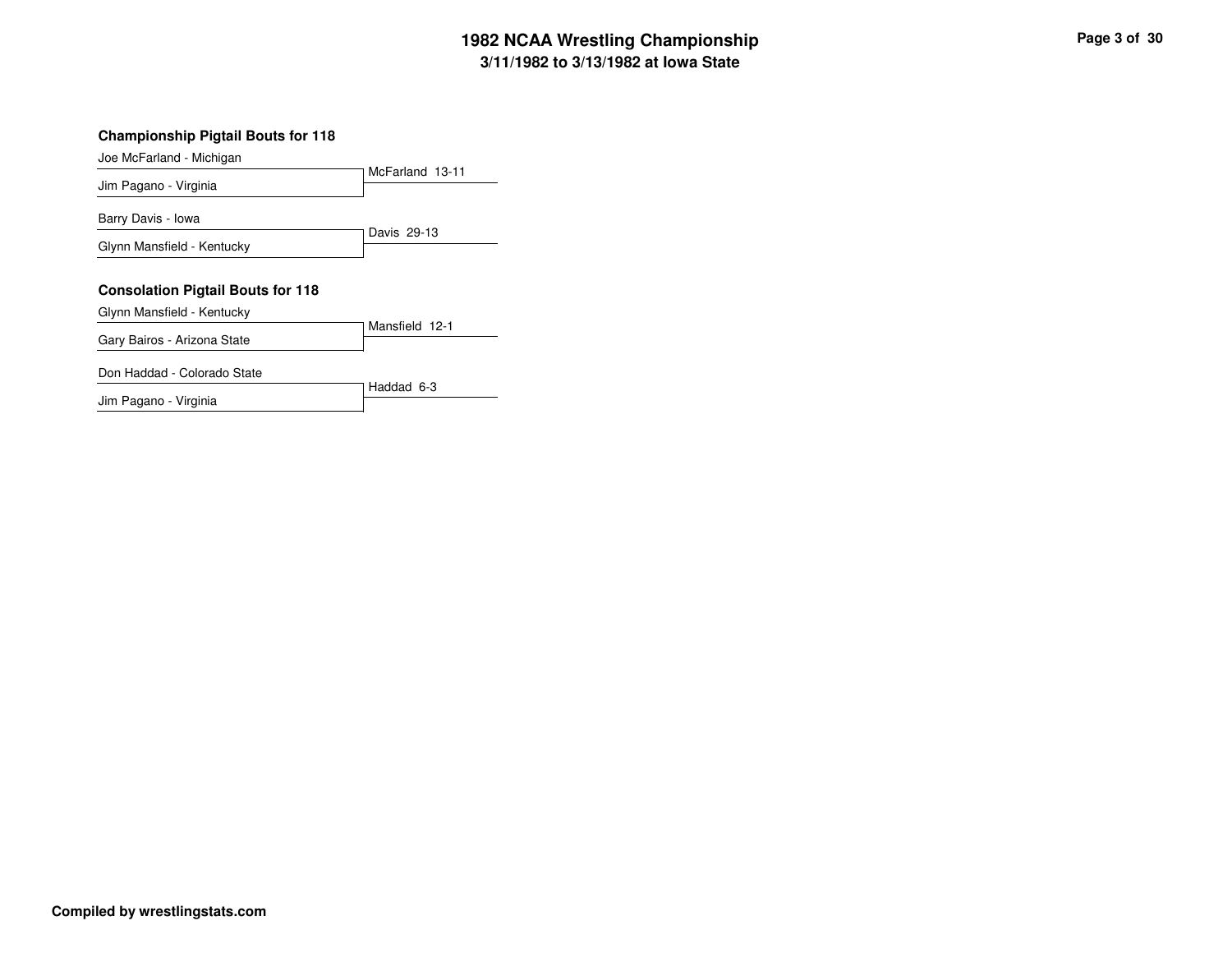## **3/11/1982 to 3/13/1982 at Iowa State 1982 NCAA Wrestling Championship Page <sup>3</sup> of <sup>30</sup>**

#### **Championship Pigtail Bouts for 118**

#### Joe McFarland - Michigan

Jim Pagano - Virginia

|                                          | McFarland 13-11 |
|------------------------------------------|-----------------|
| Jim Pagano - Virginia                    |                 |
| Barry Davis - Iowa                       |                 |
| Glynn Mansfield - Kentucky               | Davis 29-13     |
| <b>Consolation Pigtail Bouts for 118</b> |                 |
| Glynn Mansfield - Kentucky               |                 |
|                                          |                 |
| Gary Bairos - Arizona State              | Mansfield 12-1  |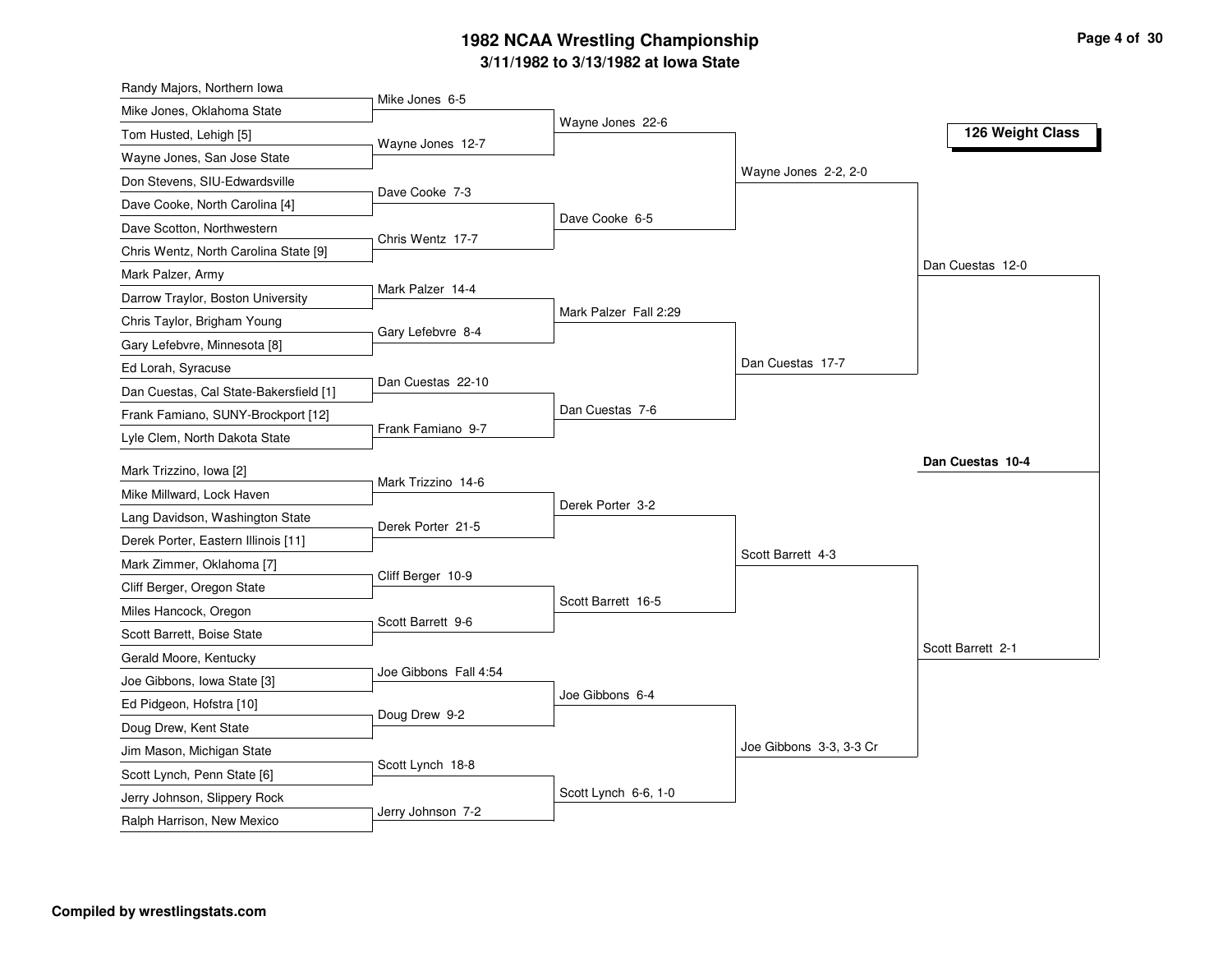#### **3/11/1982 to 3/13/1982 at Iowa State 1982 NCAA Wrestling Championship Page <sup>4</sup> of <sup>30</sup>**

| Randy Majors, Northern Iowa                                                     |                  |
|---------------------------------------------------------------------------------|------------------|
| Mike Jones 6-5<br>Mike Jones, Oklahoma State<br>Wayne Jones 22-6                |                  |
| Tom Husted, Lehigh [5]<br>Wayne Jones 12-7                                      | 126 Weight Class |
| Wayne Jones, San Jose State                                                     |                  |
| Wayne Jones 2-2, 2-0<br>Don Stevens, SIU-Edwardsville                           |                  |
| Dave Cooke 7-3<br>Dave Cooke, North Carolina [4]                                |                  |
| Dave Cooke 6-5<br>Dave Scotton, Northwestern                                    |                  |
| Chris Wentz 17-7<br>Chris Wentz, North Carolina State [9]                       |                  |
| Dan Cuestas 12-0<br>Mark Palzer, Army                                           |                  |
| Mark Palzer 14-4<br>Darrow Traylor, Boston University                           |                  |
| Mark Palzer Fall 2:29<br>Chris Taylor, Brigham Young<br>Gary Lefebvre 8-4       |                  |
| Gary Lefebvre, Minnesota [8]                                                    |                  |
| Dan Cuestas 17-7<br>Ed Lorah, Syracuse                                          |                  |
| Dan Cuestas 22-10<br>Dan Cuestas, Cal State-Bakersfield [1]                     |                  |
| Dan Cuestas 7-6<br>Frank Famiano, SUNY-Brockport [12]                           |                  |
| Frank Famiano 9-7<br>Lyle Clem, North Dakota State                              |                  |
| Mark Trizzino, Iowa [2]                                                         | Dan Cuestas 10-4 |
| Mark Trizzino 14-6<br>Mike Millward, Lock Haven                                 |                  |
| Derek Porter 3-2<br>Lang Davidson, Washington State                             |                  |
| Derek Porter 21-5<br>Derek Porter, Eastern Illinois [11]                        |                  |
| Scott Barrett 4-3<br>Mark Zimmer, Oklahoma [7]                                  |                  |
| Cliff Berger 10-9<br>Cliff Berger, Oregon State                                 |                  |
| Scott Barrett 16-5<br>Miles Hancock, Oregon                                     |                  |
| Scott Barrett 9-6<br>Scott Barrett, Boise State                                 |                  |
| Scott Barrett 2-1<br>Gerald Moore, Kentucky                                     |                  |
| Joe Gibbons Fall 4:54<br>Joe Gibbons, Iowa State [3]                            |                  |
| Joe Gibbons 6-4<br>Ed Pidgeon, Hofstra [10]                                     |                  |
| Doug Drew 9-2                                                                   |                  |
| Doug Drew, Kent State<br>Joe Gibbons 3-3, 3-3 Cr                                |                  |
| Jim Mason, Michigan State<br>Scott Lynch 18-8                                   |                  |
| Scott Lynch, Penn State [6]<br>Scott Lynch 6-6, 1-0                             |                  |
| Jerry Johnson, Slippery Rock<br>Jerry Johnson 7-2<br>Ralph Harrison, New Mexico |                  |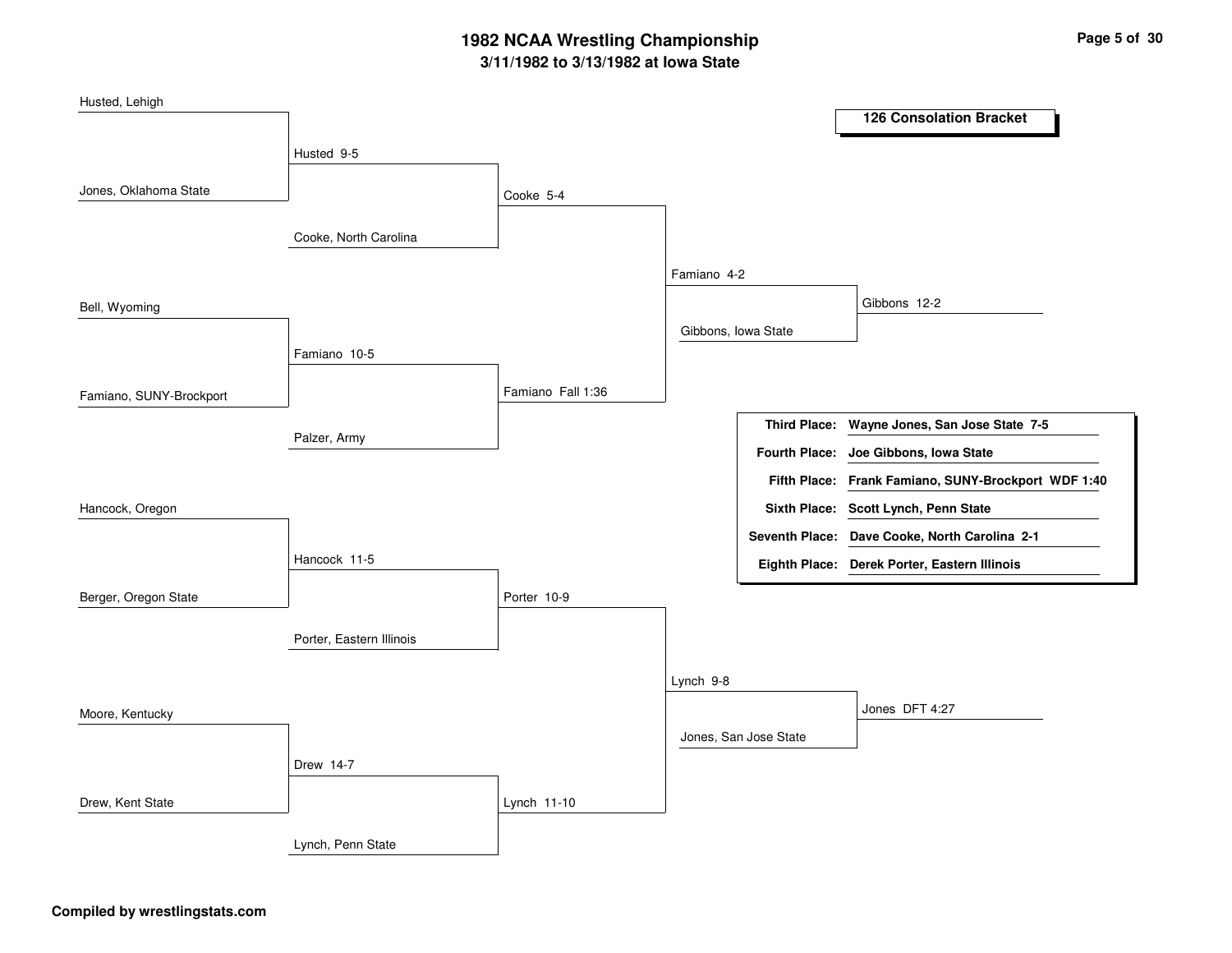## **3/11/1982 to 3/13/1982 at Iowa State 1982 NCAA Wrestling Championship Page <sup>5</sup> of <sup>30</sup>**

| Husted, Lehigh          |                          |                   |                     |                       |                                                     |
|-------------------------|--------------------------|-------------------|---------------------|-----------------------|-----------------------------------------------------|
|                         |                          |                   |                     |                       | <b>126 Consolation Bracket</b>                      |
|                         | Husted 9-5               |                   |                     |                       |                                                     |
| Jones, Oklahoma State   |                          | Cooke 5-4         |                     |                       |                                                     |
|                         | Cooke, North Carolina    |                   |                     |                       |                                                     |
|                         |                          |                   | Famiano 4-2         |                       |                                                     |
| Bell, Wyoming           |                          |                   |                     |                       | Gibbons 12-2                                        |
|                         |                          |                   | Gibbons, Iowa State |                       |                                                     |
|                         | Famiano 10-5             |                   |                     |                       |                                                     |
| Famiano, SUNY-Brockport |                          | Famiano Fall 1:36 |                     |                       |                                                     |
|                         |                          |                   |                     | <b>Third Place:</b>   | Wayne Jones, San Jose State 7-5                     |
|                         | Palzer, Army             |                   |                     | <b>Fourth Place:</b>  | Joe Gibbons, Iowa State                             |
|                         |                          |                   |                     |                       | Fifth Place: Frank Famiano, SUNY-Brockport WDF 1:40 |
| Hancock, Oregon         |                          |                   |                     |                       | Sixth Place: Scott Lynch, Penn State                |
|                         |                          |                   |                     |                       | Seventh Place: Dave Cooke, North Carolina 2-1       |
|                         | Hancock 11-5             |                   |                     |                       | Eighth Place: Derek Porter, Eastern Illinois        |
| Berger, Oregon State    |                          | Porter 10-9       |                     |                       |                                                     |
|                         | Porter, Eastern Illinois |                   |                     |                       |                                                     |
|                         |                          |                   |                     |                       |                                                     |
|                         |                          |                   | Lynch 9-8           |                       |                                                     |
| Moore, Kentucky         |                          |                   |                     |                       | Jones DFT 4:27                                      |
|                         |                          |                   |                     | Jones, San Jose State |                                                     |
|                         | Drew 14-7                |                   |                     |                       |                                                     |
| Drew, Kent State        |                          | Lynch 11-10       |                     |                       |                                                     |
|                         | Lynch, Penn State        |                   |                     |                       |                                                     |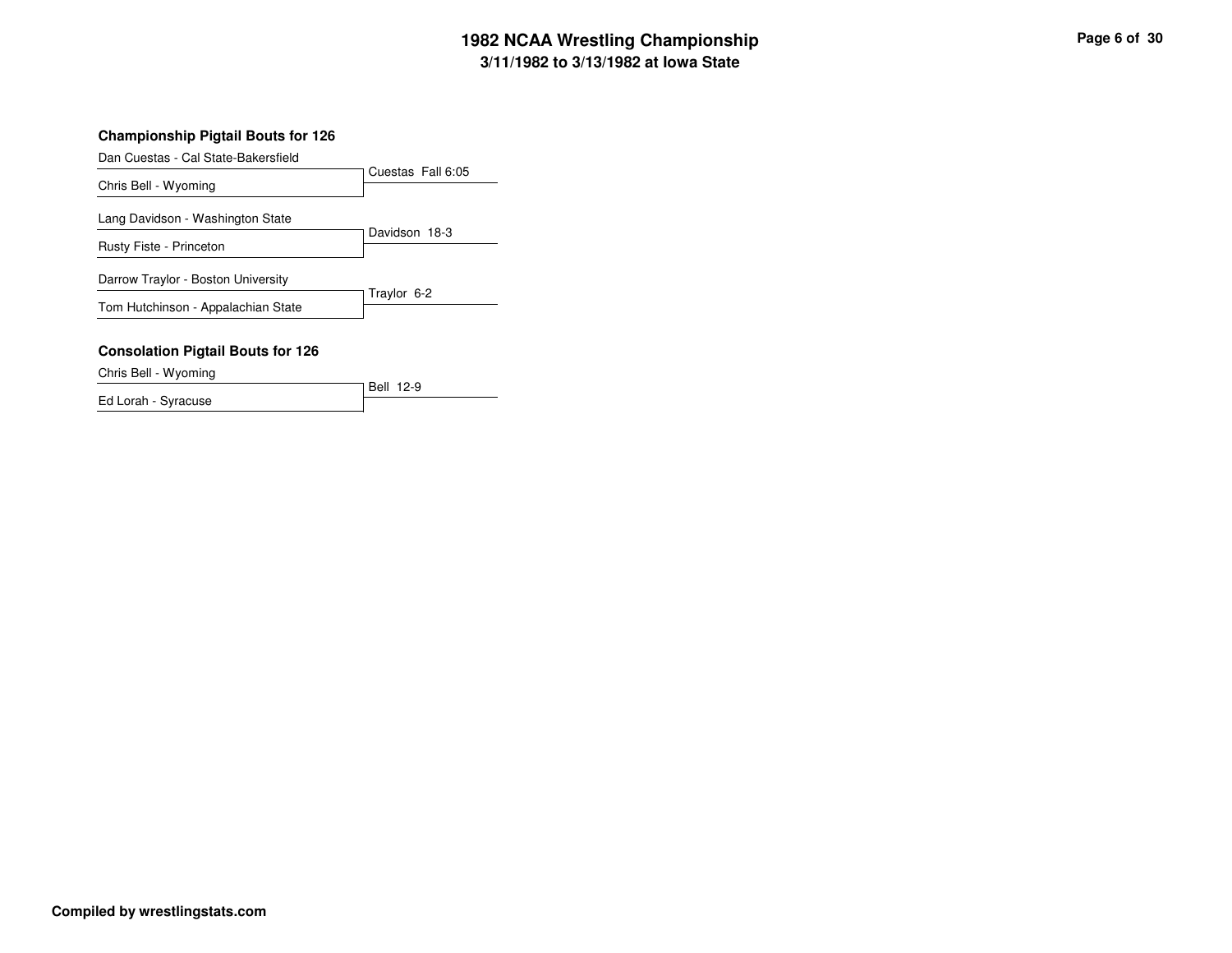## **3/11/1982 to 3/13/1982 at Iowa State 1982 NCAA Wrestling Championship Page <sup>6</sup> of <sup>30</sup>**

#### **Championship Pigtail Bouts for 126**

Dan Cuestas - Cal State-Bakersfield

|                                          | Cuestas Fall 6:05 |
|------------------------------------------|-------------------|
| Chris Bell - Wyoming                     |                   |
| Lang Davidson - Washington State         | Davidson 18-3     |
| Rusty Fiste - Princeton                  |                   |
| Darrow Traylor - Boston University       |                   |
| Tom Hutchinson - Appalachian State       | Traylor 6-2       |
| <b>Consolation Pigtail Bouts for 126</b> |                   |

Chris Bell - Wyoming

Bell 12-9 Ed Lorah - Syracuse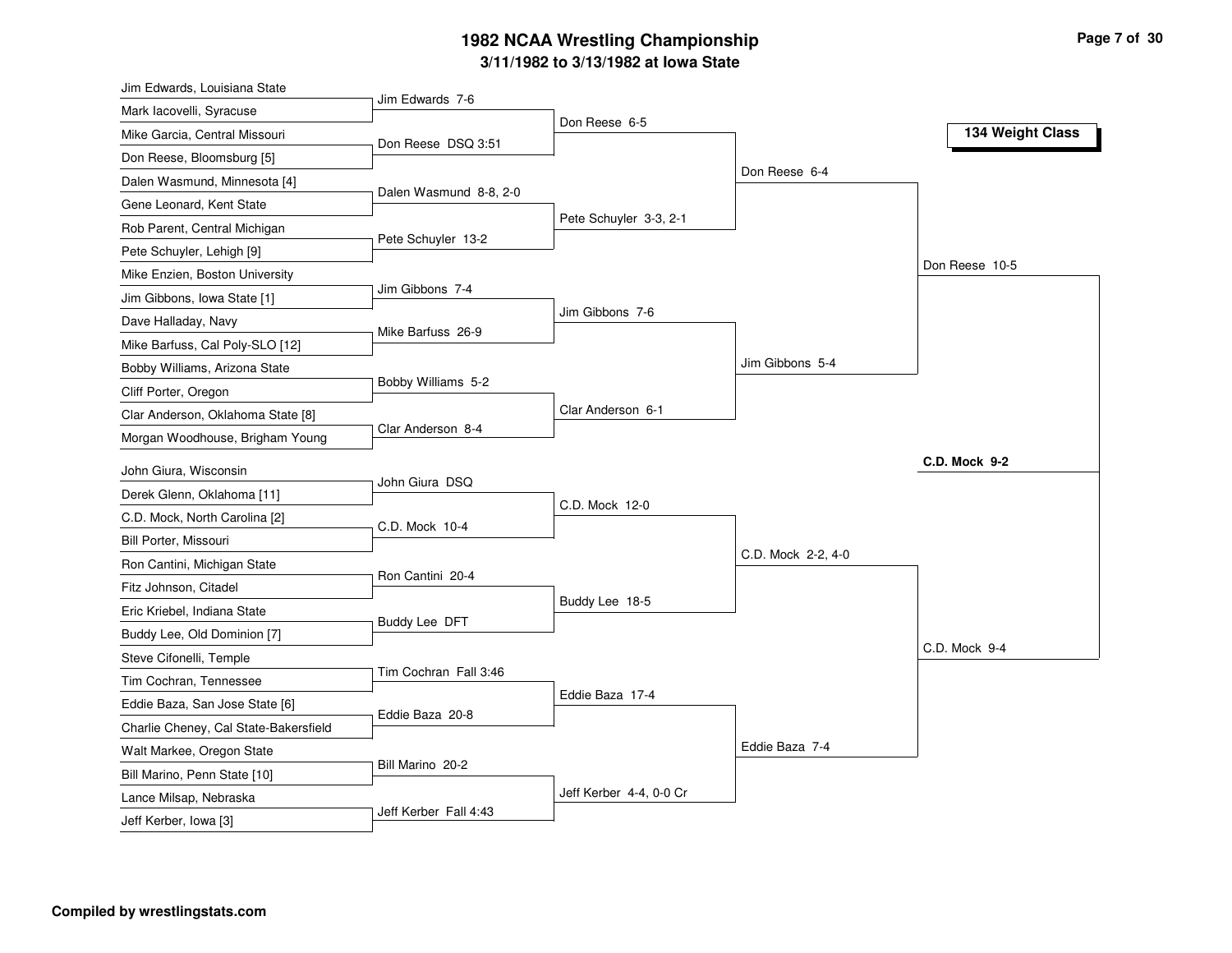### **3/11/1982 to 3/13/1982 at Iowa State 1982 NCAA Wrestling Championship Page <sup>7</sup> of <sup>30</sup>**

| Jim Edwards, Louisiana State          |                        |                         |                    |                  |
|---------------------------------------|------------------------|-------------------------|--------------------|------------------|
| Mark lacovelli, Syracuse              | Jim Edwards 7-6        | Don Reese 6-5           |                    |                  |
| Mike Garcia, Central Missouri         | Don Reese DSQ 3:51     |                         |                    | 134 Weight Class |
| Don Reese, Bloomsburg [5]             |                        |                         |                    |                  |
| Dalen Wasmund, Minnesota [4]          |                        |                         | Don Reese 6-4      |                  |
| Gene Leonard, Kent State              | Dalen Wasmund 8-8, 2-0 |                         |                    |                  |
| Rob Parent, Central Michigan          |                        | Pete Schuyler 3-3, 2-1  |                    |                  |
| Pete Schuyler, Lehigh [9]             | Pete Schuyler 13-2     |                         |                    |                  |
| Mike Enzien, Boston University        |                        |                         |                    | Don Reese 10-5   |
| Jim Gibbons, Iowa State [1]           | Jim Gibbons 7-4        |                         |                    |                  |
| Dave Halladay, Navy                   |                        | Jim Gibbons 7-6         |                    |                  |
| Mike Barfuss, Cal Poly-SLO [12]       | Mike Barfuss 26-9      |                         |                    |                  |
| Bobby Williams, Arizona State         |                        |                         | Jim Gibbons 5-4    |                  |
| Cliff Porter, Oregon                  | Bobby Williams 5-2     |                         |                    |                  |
| Clar Anderson, Oklahoma State [8]     |                        | Clar Anderson 6-1       |                    |                  |
| Morgan Woodhouse, Brigham Young       | Clar Anderson 8-4      |                         |                    |                  |
| John Giura, Wisconsin                 |                        |                         |                    | C.D. Mock 9-2    |
| Derek Glenn, Oklahoma [11]            | John Giura DSQ         |                         |                    |                  |
| C.D. Mock, North Carolina [2]         |                        | C.D. Mock 12-0          |                    |                  |
| Bill Porter, Missouri                 | C.D. Mock 10-4         |                         |                    |                  |
| Ron Cantini, Michigan State           |                        |                         | C.D. Mock 2-2, 4-0 |                  |
| Fitz Johnson, Citadel                 | Ron Cantini 20-4       |                         |                    |                  |
| Eric Kriebel, Indiana State           |                        | Buddy Lee 18-5          |                    |                  |
| Buddy Lee, Old Dominion [7]           | Buddy Lee DFT          |                         |                    |                  |
| Steve Cifonelli, Temple               |                        |                         |                    | C.D. Mock 9-4    |
| Tim Cochran, Tennessee                | Tim Cochran Fall 3:46  |                         |                    |                  |
| Eddie Baza, San Jose State [6]        |                        | Eddie Baza 17-4         |                    |                  |
| Charlie Cheney, Cal State-Bakersfield | Eddie Baza 20-8        |                         |                    |                  |
| Walt Markee, Oregon State             |                        |                         | Eddie Baza 7-4     |                  |
| Bill Marino, Penn State [10]          | Bill Marino 20-2       |                         |                    |                  |
| Lance Milsap, Nebraska                |                        | Jeff Kerber 4-4, 0-0 Cr |                    |                  |
| Jeff Kerber, Iowa [3]                 | Jeff Kerber Fall 4:43  |                         |                    |                  |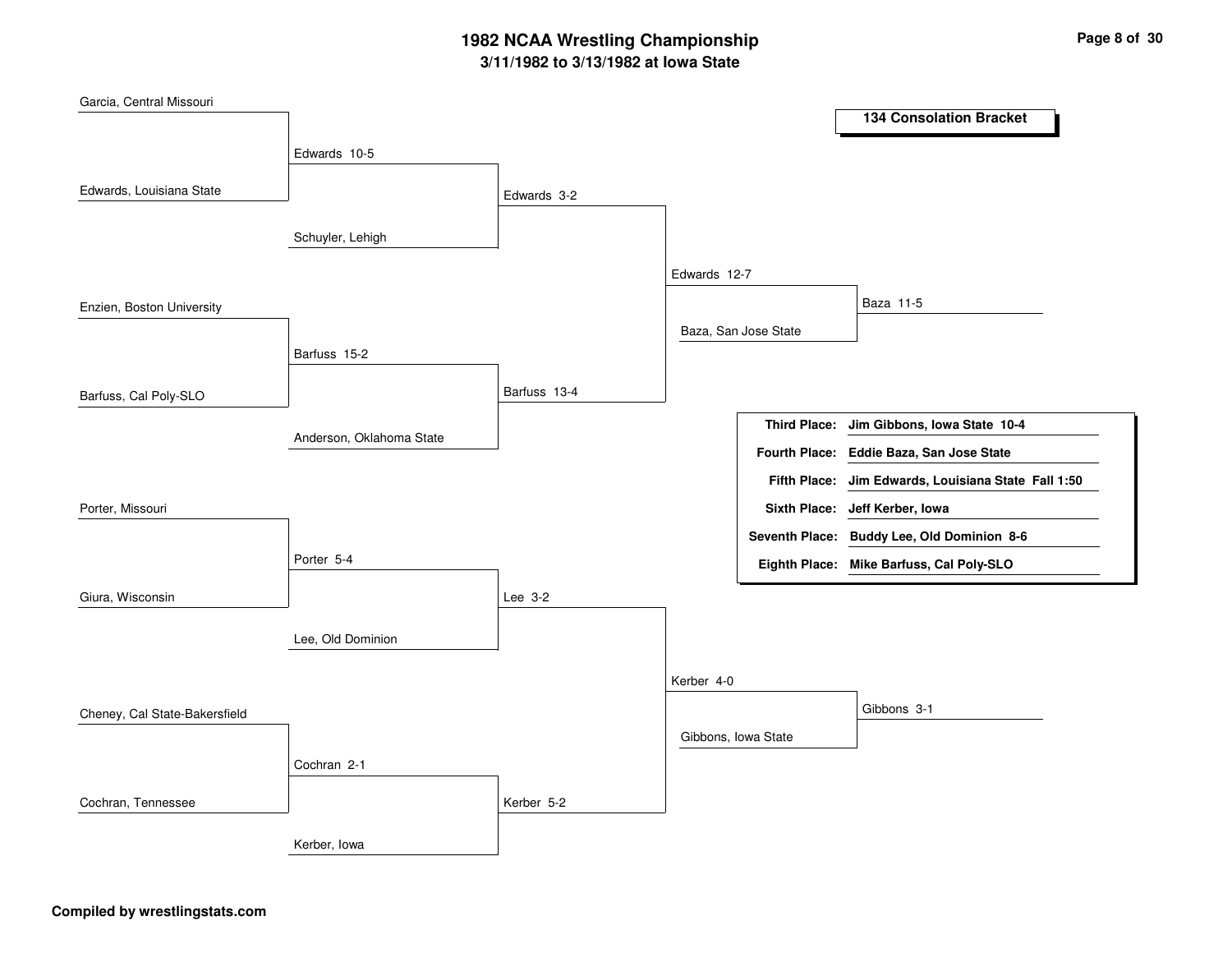## **3/11/1982 to 3/13/1982 at Iowa State 1982 NCAA Wrestling Championship Page <sup>8</sup> of <sup>30</sup>**

| Garcia, Central Missouri      |                          |              |                     |                      |                                                     |
|-------------------------------|--------------------------|--------------|---------------------|----------------------|-----------------------------------------------------|
|                               |                          |              |                     |                      | <b>134 Consolation Bracket</b>                      |
|                               | Edwards 10-5             |              |                     |                      |                                                     |
|                               |                          |              |                     |                      |                                                     |
| Edwards, Louisiana State      |                          | Edwards 3-2  |                     |                      |                                                     |
|                               |                          |              |                     |                      |                                                     |
|                               | Schuyler, Lehigh         |              |                     |                      |                                                     |
|                               |                          |              | Edwards 12-7        |                      |                                                     |
| Enzien, Boston University     |                          |              |                     |                      | Baza 11-5                                           |
|                               |                          |              |                     | Baza, San Jose State |                                                     |
|                               | Barfuss 15-2             |              |                     |                      |                                                     |
|                               |                          |              |                     |                      |                                                     |
| Barfuss, Cal Poly-SLO         |                          | Barfuss 13-4 |                     |                      |                                                     |
|                               |                          |              |                     | <b>Third Place:</b>  | Jim Gibbons, Iowa State 10-4                        |
|                               | Anderson, Oklahoma State |              |                     |                      | Fourth Place: Eddie Baza, San Jose State            |
|                               |                          |              |                     |                      | Fifth Place: Jim Edwards, Louisiana State Fall 1:50 |
| Porter, Missouri              |                          |              |                     |                      | Sixth Place: Jeff Kerber, Iowa                      |
|                               |                          |              |                     |                      |                                                     |
|                               |                          |              |                     |                      | Seventh Place: Buddy Lee, Old Dominion 8-6          |
|                               | Porter 5-4               |              |                     |                      | Eighth Place: Mike Barfuss, Cal Poly-SLO            |
| Giura, Wisconsin              |                          | Lee 3-2      |                     |                      |                                                     |
|                               |                          |              |                     |                      |                                                     |
|                               | Lee, Old Dominion        |              |                     |                      |                                                     |
|                               |                          |              |                     |                      |                                                     |
|                               |                          |              | Kerber 4-0          |                      |                                                     |
| Cheney, Cal State-Bakersfield |                          |              |                     |                      | Gibbons 3-1                                         |
|                               |                          |              | Gibbons, Iowa State |                      |                                                     |
|                               | Cochran 2-1              |              |                     |                      |                                                     |
|                               |                          |              |                     |                      |                                                     |
| Cochran, Tennessee            |                          | Kerber 5-2   |                     |                      |                                                     |
|                               | Kerber, Iowa             |              |                     |                      |                                                     |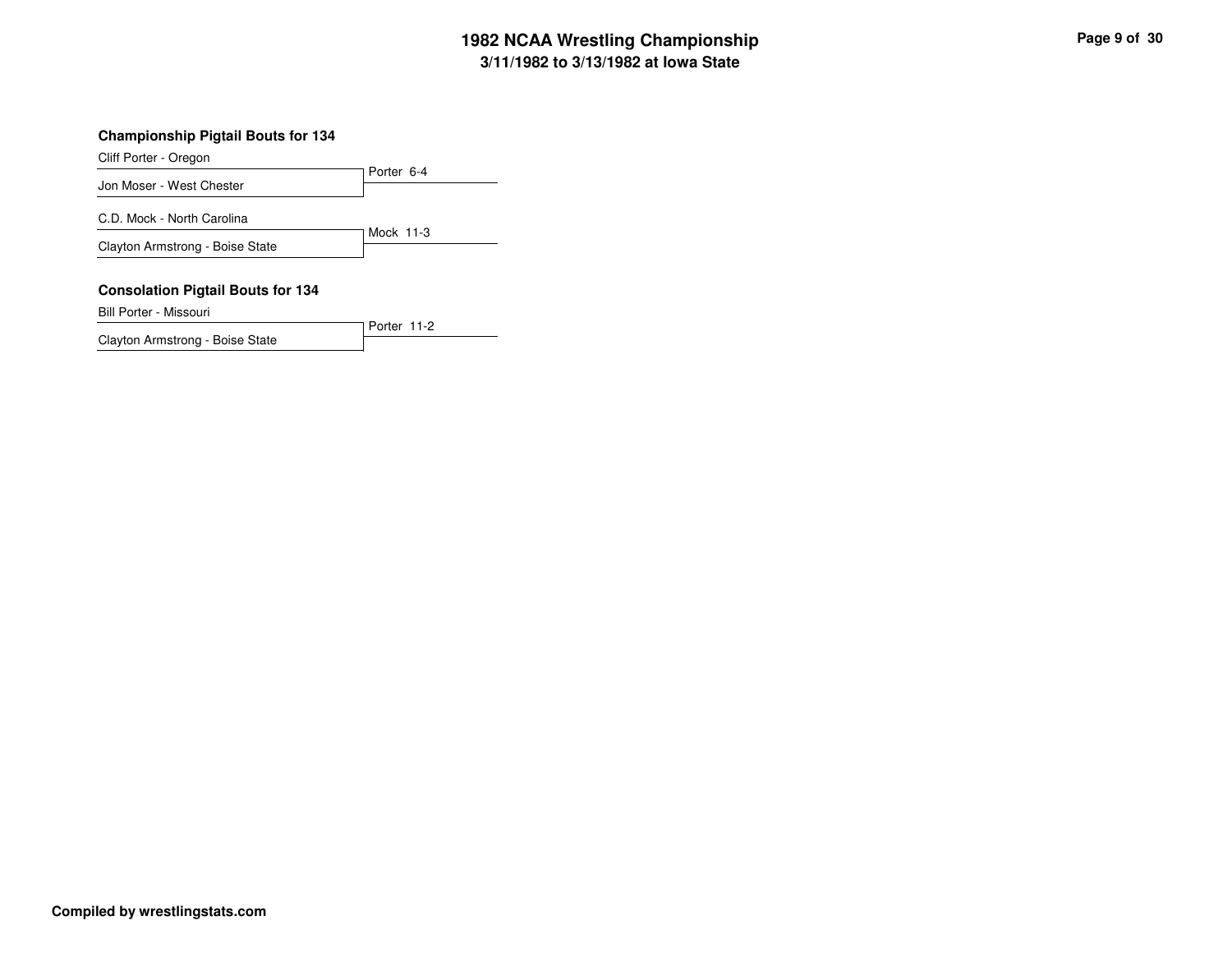## **3/11/1982 to 3/13/1982 at Iowa State 1982 NCAA Wrestling Championship Page <sup>9</sup> of <sup>30</sup>**

#### **Championship Pigtail Bouts for 134**

Cliff Porter - Oregon

Porter 6-4 Jon Moser - West Chester Mock 11-3 C.D. Mock - North Carolina Clayton Armstrong - Boise State

#### **Consolation Pigtail Bouts for 134**

Bill Porter - Missouri

Porter 11-2Clayton Armstrong - Boise State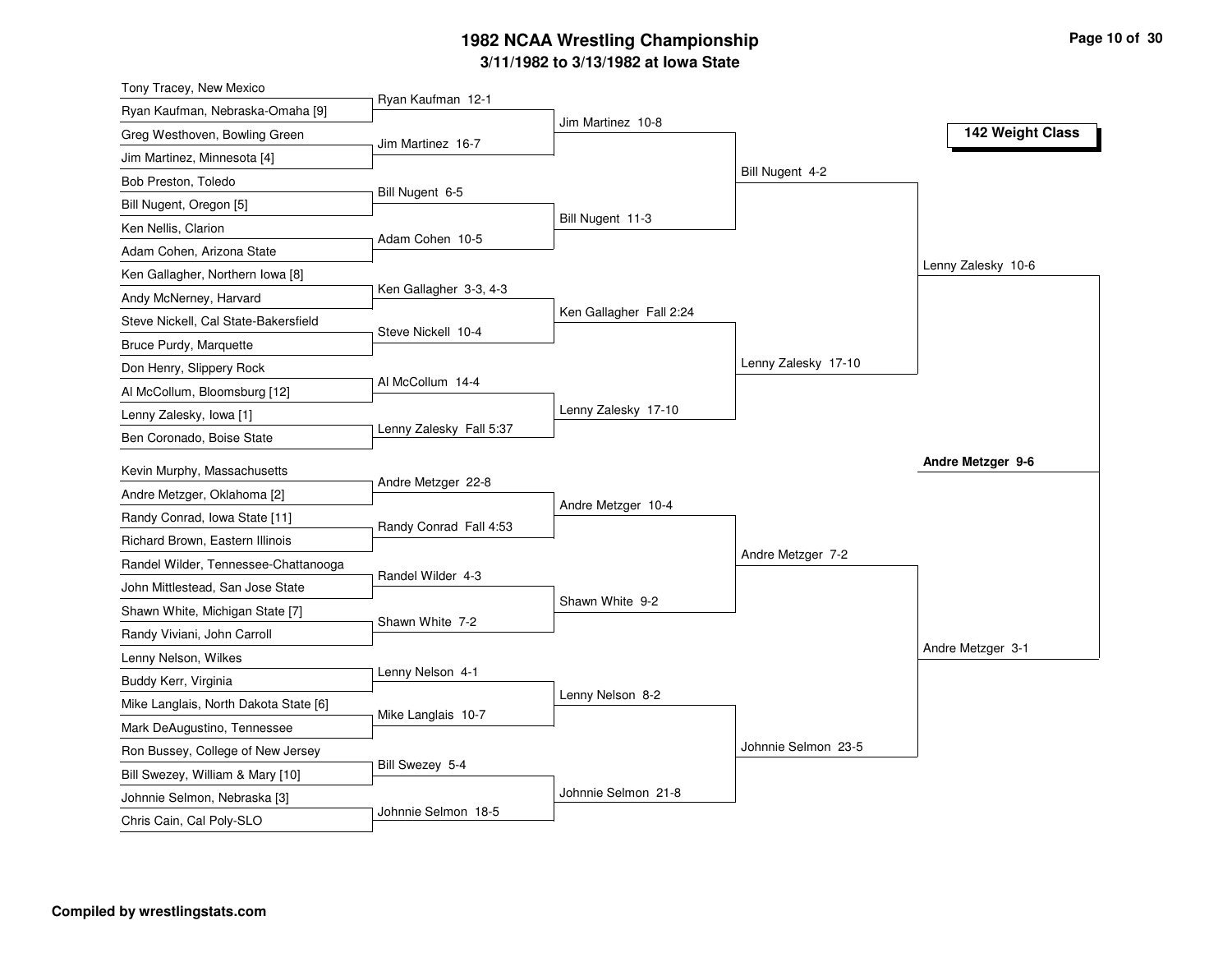## **3/11/1982 to 3/13/1982 at Iowa State 1982 NCAA Wrestling Championship Page <sup>10</sup> of <sup>30</sup>**

| Tony Tracey, New Mexico               |                         |                         |                     |                    |
|---------------------------------------|-------------------------|-------------------------|---------------------|--------------------|
| Ryan Kaufman, Nebraska-Omaha [9]      | Ryan Kaufman 12-1       | Jim Martinez 10-8       |                     |                    |
| Greg Westhoven, Bowling Green         | Jim Martinez 16-7       |                         |                     | 142 Weight Class   |
| Jim Martinez, Minnesota [4]           |                         |                         |                     |                    |
| Bob Preston, Toledo                   |                         |                         | Bill Nugent 4-2     |                    |
| Bill Nugent, Oregon [5]               | Bill Nugent 6-5         |                         |                     |                    |
| Ken Nellis, Clarion                   |                         | Bill Nugent 11-3        |                     |                    |
| Adam Cohen, Arizona State             | Adam Cohen 10-5         |                         |                     |                    |
| Ken Gallagher, Northern Iowa [8]      |                         |                         |                     | Lenny Zalesky 10-6 |
| Andy McNerney, Harvard                | Ken Gallagher 3-3, 4-3  |                         |                     |                    |
| Steve Nickell, Cal State-Bakersfield  |                         | Ken Gallagher Fall 2:24 |                     |                    |
| Bruce Purdy, Marquette                | Steve Nickell 10-4      |                         |                     |                    |
| Don Henry, Slippery Rock              |                         |                         | Lenny Zalesky 17-10 |                    |
| Al McCollum, Bloomsburg [12]          | Al McCollum 14-4        |                         |                     |                    |
| Lenny Zalesky, Iowa [1]               |                         | Lenny Zalesky 17-10     |                     |                    |
| Ben Coronado, Boise State             | Lenny Zalesky Fall 5:37 |                         |                     |                    |
| Kevin Murphy, Massachusetts           |                         |                         |                     | Andre Metzger 9-6  |
| Andre Metzger, Oklahoma [2]           | Andre Metzger 22-8      |                         |                     |                    |
| Randy Conrad, Iowa State [11]         |                         | Andre Metzger 10-4      |                     |                    |
| Richard Brown, Eastern Illinois       | Randy Conrad Fall 4:53  |                         |                     |                    |
| Randel Wilder, Tennessee-Chattanooga  |                         |                         | Andre Metzger 7-2   |                    |
| John Mittlestead, San Jose State      | Randel Wilder 4-3       |                         |                     |                    |
| Shawn White, Michigan State [7]       |                         | Shawn White 9-2         |                     |                    |
| Randy Viviani, John Carroll           | Shawn White 7-2         |                         |                     |                    |
| Lenny Nelson, Wilkes                  |                         |                         |                     | Andre Metzger 3-1  |
| Buddy Kerr, Virginia                  | Lenny Nelson 4-1        |                         |                     |                    |
| Mike Langlais, North Dakota State [6] |                         | Lenny Nelson 8-2        |                     |                    |
| Mark DeAugustino, Tennessee           | Mike Langlais 10-7      |                         |                     |                    |
| Ron Bussey, College of New Jersey     |                         |                         | Johnnie Selmon 23-5 |                    |
| Bill Swezey, William & Mary [10]      |                         |                         |                     |                    |
|                                       | Bill Swezey 5-4         |                         |                     |                    |
| Johnnie Selmon, Nebraska [3]          |                         | Johnnie Selmon 21-8     |                     |                    |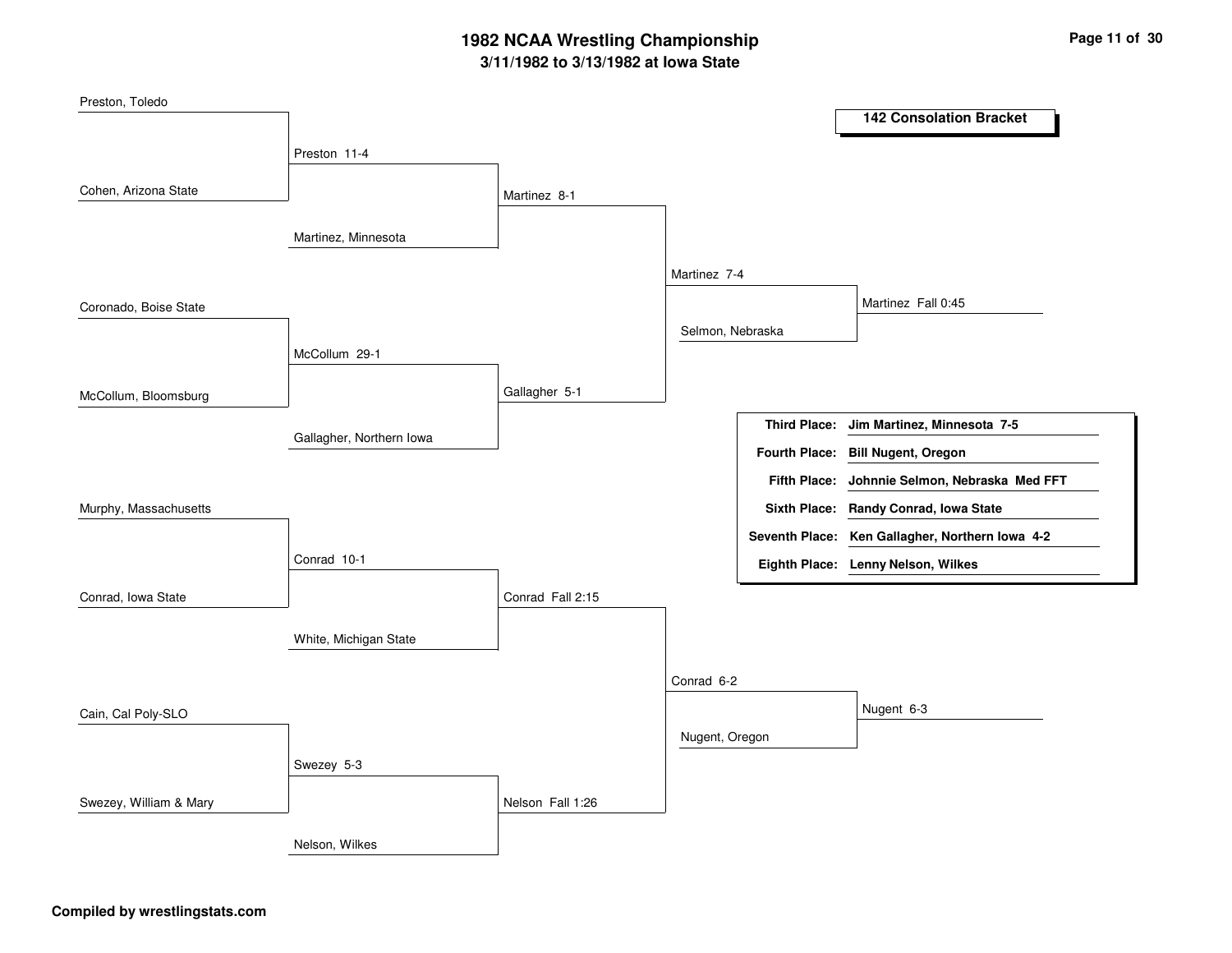## **3/11/1982 to 3/13/1982 at Iowa State 1982 NCAA Wrestling Championship Page <sup>11</sup> of <sup>30</sup>**

| Preston, Toledo        |                          |                  |                  |                     |                                                 |
|------------------------|--------------------------|------------------|------------------|---------------------|-------------------------------------------------|
|                        |                          |                  |                  |                     | <b>142 Consolation Bracket</b>                  |
|                        | Preston 11-4             |                  |                  |                     |                                                 |
| Cohen, Arizona State   |                          |                  |                  |                     |                                                 |
|                        |                          | Martinez 8-1     |                  |                     |                                                 |
|                        | Martinez, Minnesota      |                  |                  |                     |                                                 |
|                        |                          |                  |                  |                     |                                                 |
|                        |                          |                  | Martinez 7-4     |                     |                                                 |
| Coronado, Boise State  |                          |                  |                  |                     | Martinez Fall 0:45                              |
|                        |                          |                  | Selmon, Nebraska |                     |                                                 |
|                        | McCollum 29-1            |                  |                  |                     |                                                 |
|                        |                          | Gallagher 5-1    |                  |                     |                                                 |
| McCollum, Bloomsburg   |                          |                  |                  |                     |                                                 |
|                        | Gallagher, Northern Iowa |                  |                  | <b>Third Place:</b> | Jim Martinez, Minnesota 7-5                     |
|                        |                          |                  |                  |                     | Fourth Place: Bill Nugent, Oregon               |
|                        |                          |                  |                  | <b>Fifth Place:</b> | Johnnie Selmon, Nebraska Med FFT                |
| Murphy, Massachusetts  |                          |                  |                  |                     | Sixth Place: Randy Conrad, Iowa State           |
|                        |                          |                  |                  |                     | Seventh Place: Ken Gallagher, Northern Iowa 4-2 |
|                        | Conrad 10-1              |                  |                  |                     | Eighth Place: Lenny Nelson, Wilkes              |
| Conrad, Iowa State     |                          | Conrad Fall 2:15 |                  |                     |                                                 |
|                        |                          |                  |                  |                     |                                                 |
|                        | White, Michigan State    |                  |                  |                     |                                                 |
|                        |                          |                  |                  |                     |                                                 |
|                        |                          |                  | Conrad 6-2       |                     |                                                 |
| Cain, Cal Poly-SLO     |                          |                  |                  |                     | Nugent 6-3                                      |
|                        |                          |                  | Nugent, Oregon   |                     |                                                 |
|                        | Swezey 5-3               |                  |                  |                     |                                                 |
| Swezey, William & Mary |                          | Nelson Fall 1:26 |                  |                     |                                                 |
|                        |                          |                  |                  |                     |                                                 |
|                        | Nelson, Wilkes           |                  |                  |                     |                                                 |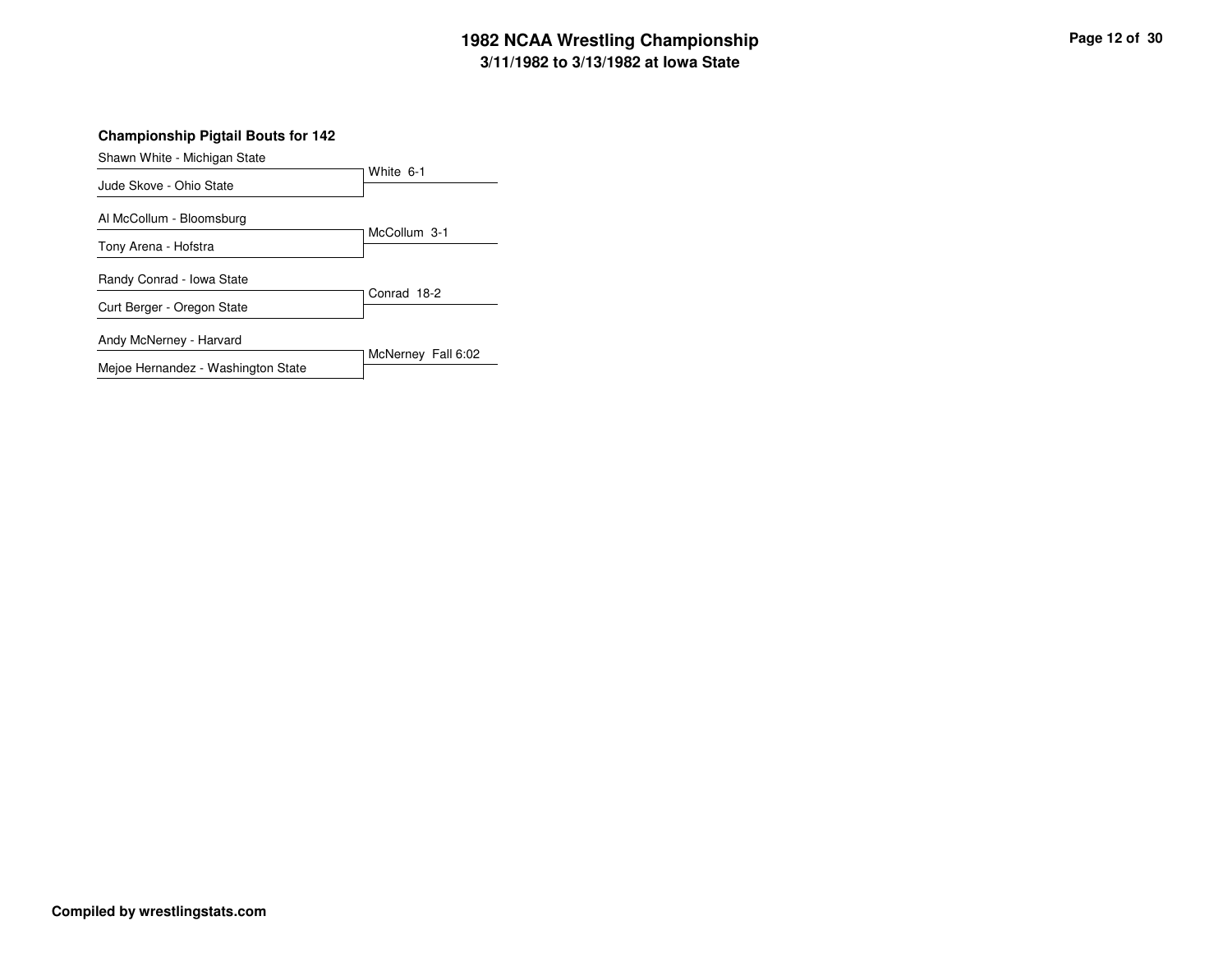## **3/11/1982 to 3/13/1982 at Iowa State 1982 NCAA Wrestling Championship Page <sup>12</sup> of <sup>30</sup>**

**Championship Pigtail Bouts for 142**

| Shawn White - Michigan State       |                    |
|------------------------------------|--------------------|
| Jude Skove - Ohio State            | White 6-1          |
|                                    |                    |
| Al McCollum - Bloomsburg           |                    |
| Tony Arena - Hofstra               | McCollum 3-1       |
| Randy Conrad - Iowa State          |                    |
| Curt Berger - Oregon State         | Conrad 18-2        |
| Andy McNerney - Harvard            |                    |
| Mejoe Hernandez - Washington State | McNerney Fall 6:02 |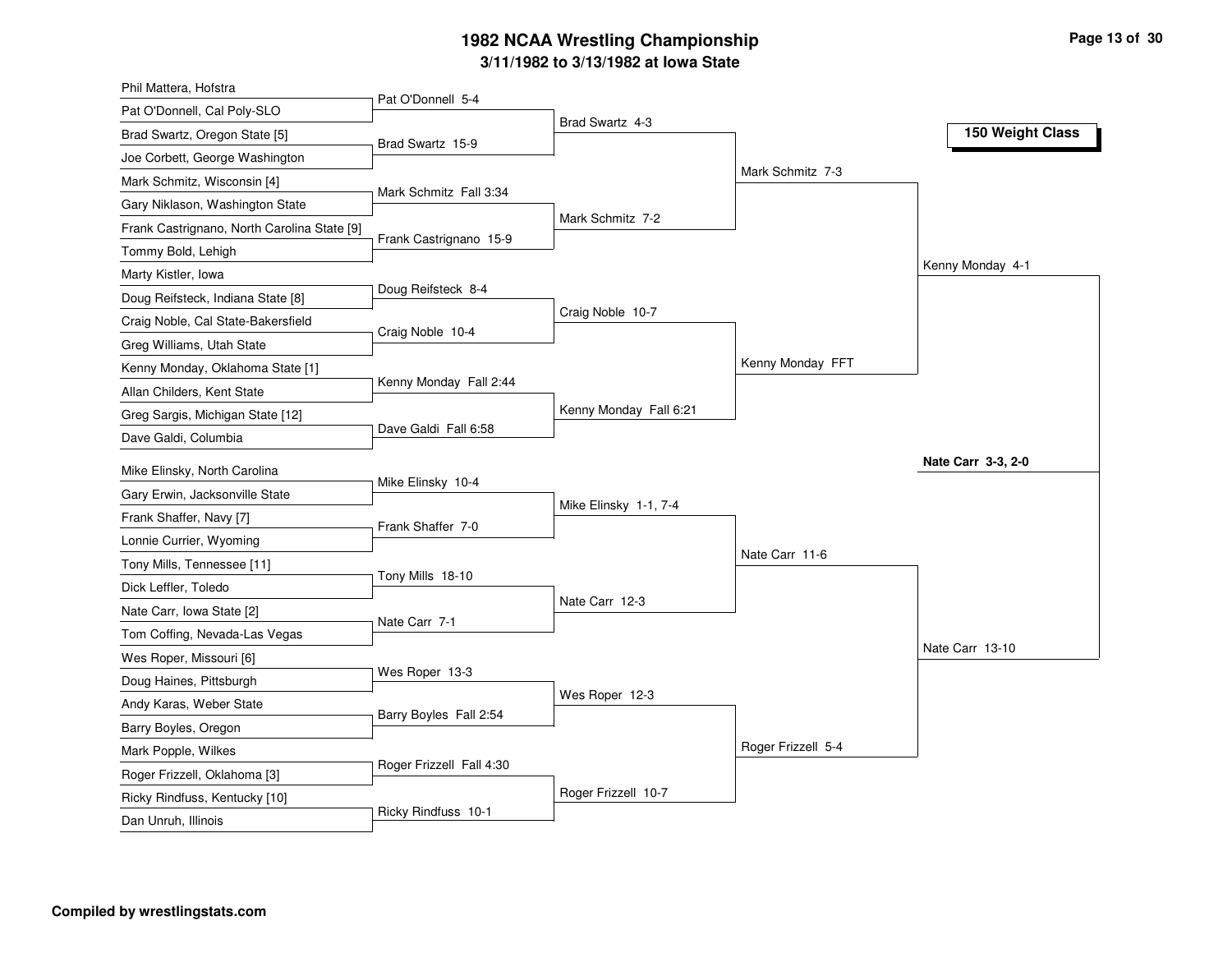### **3/11/1982 to 3/13/1982 at Iowa State 1982 NCAA Wrestling Championship Page <sup>13</sup> of <sup>30</sup>**

| Phil Mattera, Hofstra                       |                          |                        |                    |                    |
|---------------------------------------------|--------------------------|------------------------|--------------------|--------------------|
| Pat O'Donnell, Cal Poly-SLO                 | Pat O'Donnell 5-4        |                        |                    |                    |
| Brad Swartz, Oregon State [5]               | Brad Swartz 15-9         | Brad Swartz 4-3        |                    | 150 Weight Class   |
| Joe Corbett, George Washington              |                          |                        |                    |                    |
| Mark Schmitz, Wisconsin [4]                 |                          |                        | Mark Schmitz 7-3   |                    |
| Gary Niklason, Washington State             | Mark Schmitz Fall 3:34   |                        |                    |                    |
| Frank Castrignano, North Carolina State [9] |                          | Mark Schmitz 7-2       |                    |                    |
| Tommy Bold, Lehigh                          | Frank Castrignano 15-9   |                        |                    |                    |
| Marty Kistler, Iowa                         |                          |                        |                    | Kenny Monday 4-1   |
| Doug Reifsteck, Indiana State [8]           | Doug Reifsteck 8-4       |                        |                    |                    |
| Craig Noble, Cal State-Bakersfield          |                          | Craig Noble 10-7       |                    |                    |
| Greg Williams, Utah State                   | Craig Noble 10-4         |                        |                    |                    |
| Kenny Monday, Oklahoma State [1]            |                          |                        | Kenny Monday FFT   |                    |
| Allan Childers, Kent State                  | Kenny Monday Fall 2:44   |                        |                    |                    |
| Greg Sargis, Michigan State [12]            |                          | Kenny Monday Fall 6:21 |                    |                    |
| Dave Galdi, Columbia                        | Dave Galdi Fall 6:58     |                        |                    |                    |
| Mike Elinsky, North Carolina                |                          |                        |                    | Nate Carr 3-3, 2-0 |
| Gary Erwin, Jacksonville State              | Mike Elinsky 10-4        |                        |                    |                    |
| Frank Shaffer, Navy [7]                     |                          | Mike Elinsky 1-1, 7-4  |                    |                    |
|                                             | Frank Shaffer 7-0        |                        |                    |                    |
| Lonnie Currier, Wyoming                     |                          |                        | Nate Carr 11-6     |                    |
| Tony Mills, Tennessee [11]                  | Tony Mills 18-10         |                        |                    |                    |
| Dick Leffler, Toledo                        |                          | Nate Carr 12-3         |                    |                    |
| Nate Carr, Iowa State [2]                   | Nate Carr 7-1            |                        |                    |                    |
| Tom Coffing, Nevada-Las Vegas               |                          |                        |                    | Nate Carr 13-10    |
| Wes Roper, Missouri [6]                     | Wes Roper 13-3           |                        |                    |                    |
| Doug Haines, Pittsburgh                     |                          | Wes Roper 12-3         |                    |                    |
| Andy Karas, Weber State                     | Barry Boyles Fall 2:54   |                        |                    |                    |
| Barry Boyles, Oregon                        |                          |                        | Roger Frizzell 5-4 |                    |
| Mark Popple, Wilkes                         | Roger Frizzell Fall 4:30 |                        |                    |                    |
| Roger Frizzell, Oklahoma [3]                |                          | Roger Frizzell 10-7    |                    |                    |
| Ricky Rindfuss, Kentucky [10]               | Ricky Rindfuss 10-1      |                        |                    |                    |
| Dan Unruh, Illinois                         |                          |                        |                    |                    |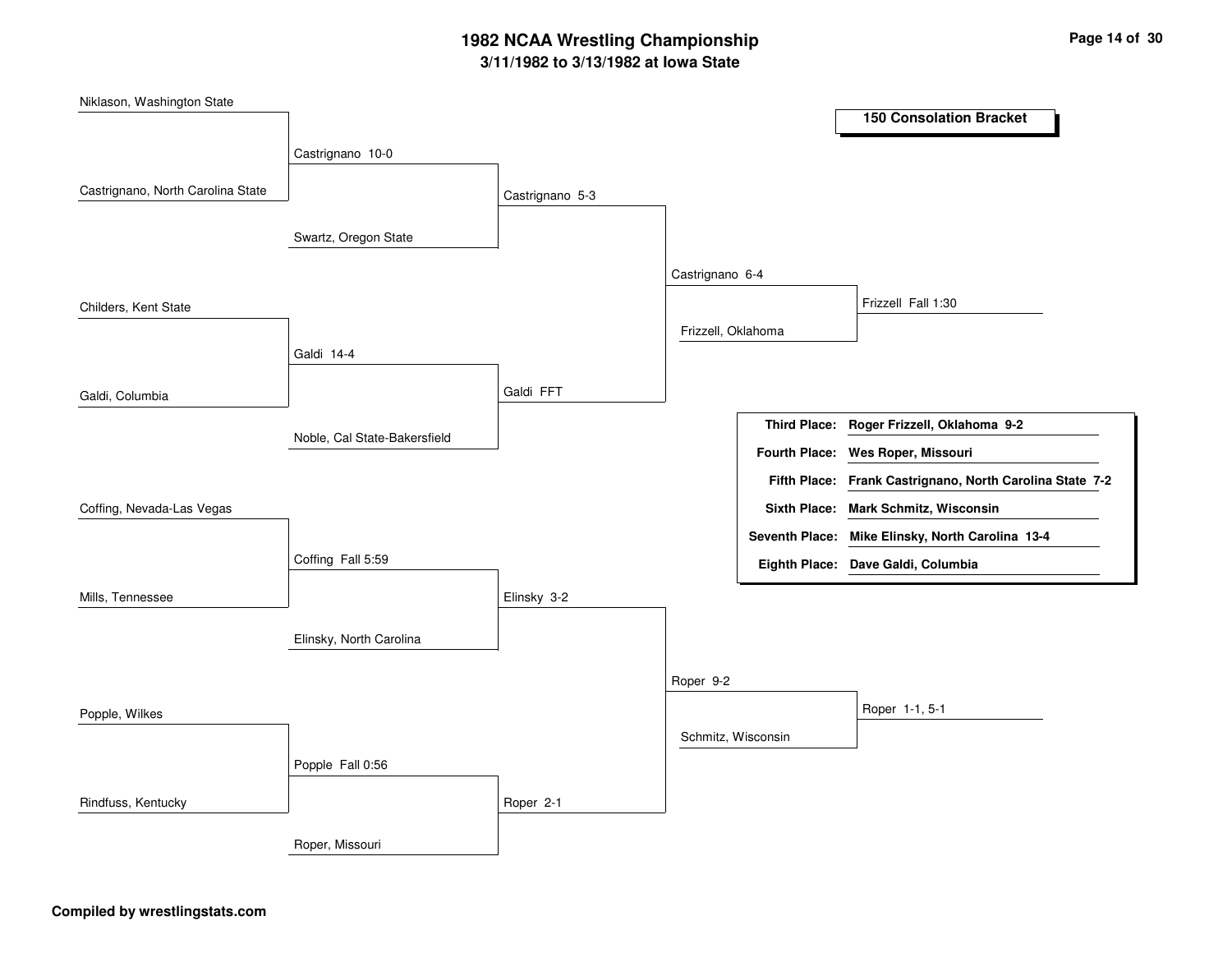## **3/11/1982 to 3/13/1982 at Iowa State 1982 NCAA Wrestling Championship Page <sup>14</sup> of <sup>30</sup>**

| Niklason, Washington State        |                              |                 |                    |                       |                                                          |
|-----------------------------------|------------------------------|-----------------|--------------------|-----------------------|----------------------------------------------------------|
|                                   |                              |                 |                    |                       | <b>150 Consolation Bracket</b>                           |
|                                   | Castrignano 10-0             |                 |                    |                       |                                                          |
|                                   |                              |                 |                    |                       |                                                          |
| Castrignano, North Carolina State |                              | Castrignano 5-3 |                    |                       |                                                          |
|                                   |                              |                 |                    |                       |                                                          |
|                                   | Swartz, Oregon State         |                 |                    |                       |                                                          |
|                                   |                              |                 | Castrignano 6-4    |                       |                                                          |
| Childers, Kent State              |                              |                 |                    |                       | Frizzell Fall 1:30                                       |
|                                   |                              |                 | Frizzell, Oklahoma |                       |                                                          |
|                                   | Galdi 14-4                   |                 |                    |                       |                                                          |
|                                   |                              |                 |                    |                       |                                                          |
| Galdi, Columbia                   |                              | Galdi FFT       |                    |                       |                                                          |
|                                   |                              |                 |                    |                       | Third Place: Roger Frizzell, Oklahoma 9-2                |
|                                   | Noble, Cal State-Bakersfield |                 |                    | <b>Fourth Place:</b>  | Wes Roper, Missouri                                      |
|                                   |                              |                 |                    |                       | Fifth Place: Frank Castrignano, North Carolina State 7-2 |
|                                   |                              |                 |                    |                       |                                                          |
| Coffing, Nevada-Las Vegas         |                              |                 |                    |                       | Sixth Place: Mark Schmitz, Wisconsin                     |
|                                   |                              |                 |                    | <b>Seventh Place:</b> | Mike Elinsky, North Carolina 13-4                        |
|                                   | Coffing Fall 5:59            |                 |                    |                       | Eighth Place: Dave Galdi, Columbia                       |
| Mills, Tennessee                  |                              | Elinsky 3-2     |                    |                       |                                                          |
|                                   |                              |                 |                    |                       |                                                          |
|                                   | Elinsky, North Carolina      |                 |                    |                       |                                                          |
|                                   |                              |                 |                    |                       |                                                          |
|                                   |                              |                 | Roper 9-2          |                       |                                                          |
| Popple, Wilkes                    |                              |                 |                    |                       | Roper 1-1, 5-1                                           |
|                                   |                              |                 | Schmitz, Wisconsin |                       |                                                          |
|                                   | Popple Fall 0:56             |                 |                    |                       |                                                          |
|                                   |                              |                 |                    |                       |                                                          |
| Rindfuss, Kentucky                |                              | Roper 2-1       |                    |                       |                                                          |
|                                   | Roper, Missouri              |                 |                    |                       |                                                          |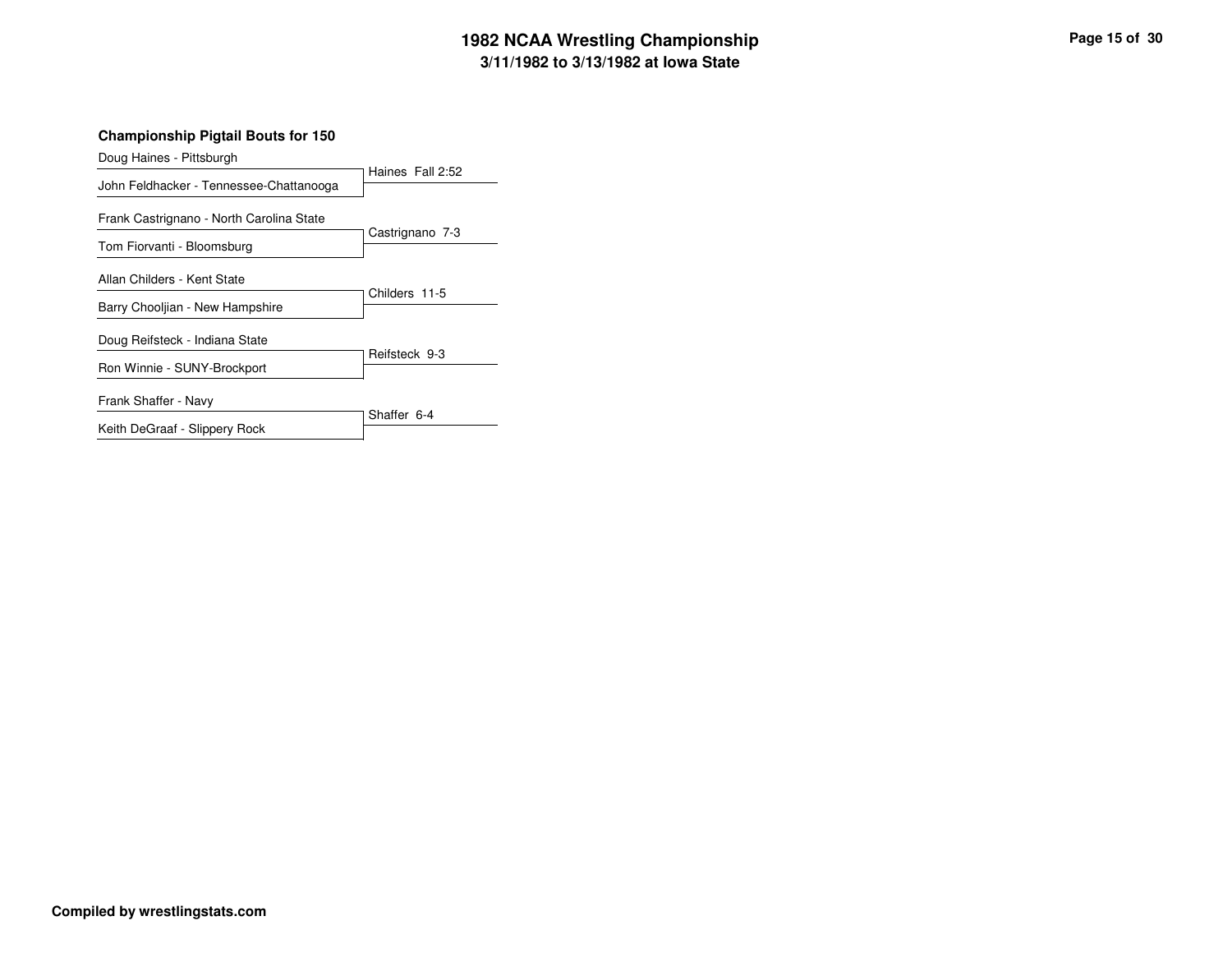## **3/11/1982 to 3/13/1982 at Iowa State 1982 NCAA Wrestling Championship Page <sup>15</sup> of <sup>30</sup>**

| Doug Haines - Pittsburgh                 |                  |  |  |
|------------------------------------------|------------------|--|--|
| John Feldhacker - Tennessee-Chattanooga  | Haines Fall 2:52 |  |  |
| Frank Castrignano - North Carolina State |                  |  |  |
| Tom Fiorvanti - Bloomsburg               | Castrignano 7-3  |  |  |
| Allan Childers - Kent State              |                  |  |  |
| Barry Chooliian - New Hampshire          | Childers 11-5    |  |  |
| Doug Reifsteck - Indiana State           |                  |  |  |
| Ron Winnie - SUNY-Brockport              | Reifsteck 9-3    |  |  |
| Frank Shaffer - Navy                     |                  |  |  |
| Keith DeGraaf - Slippery Rock            | Shaffer 6-4      |  |  |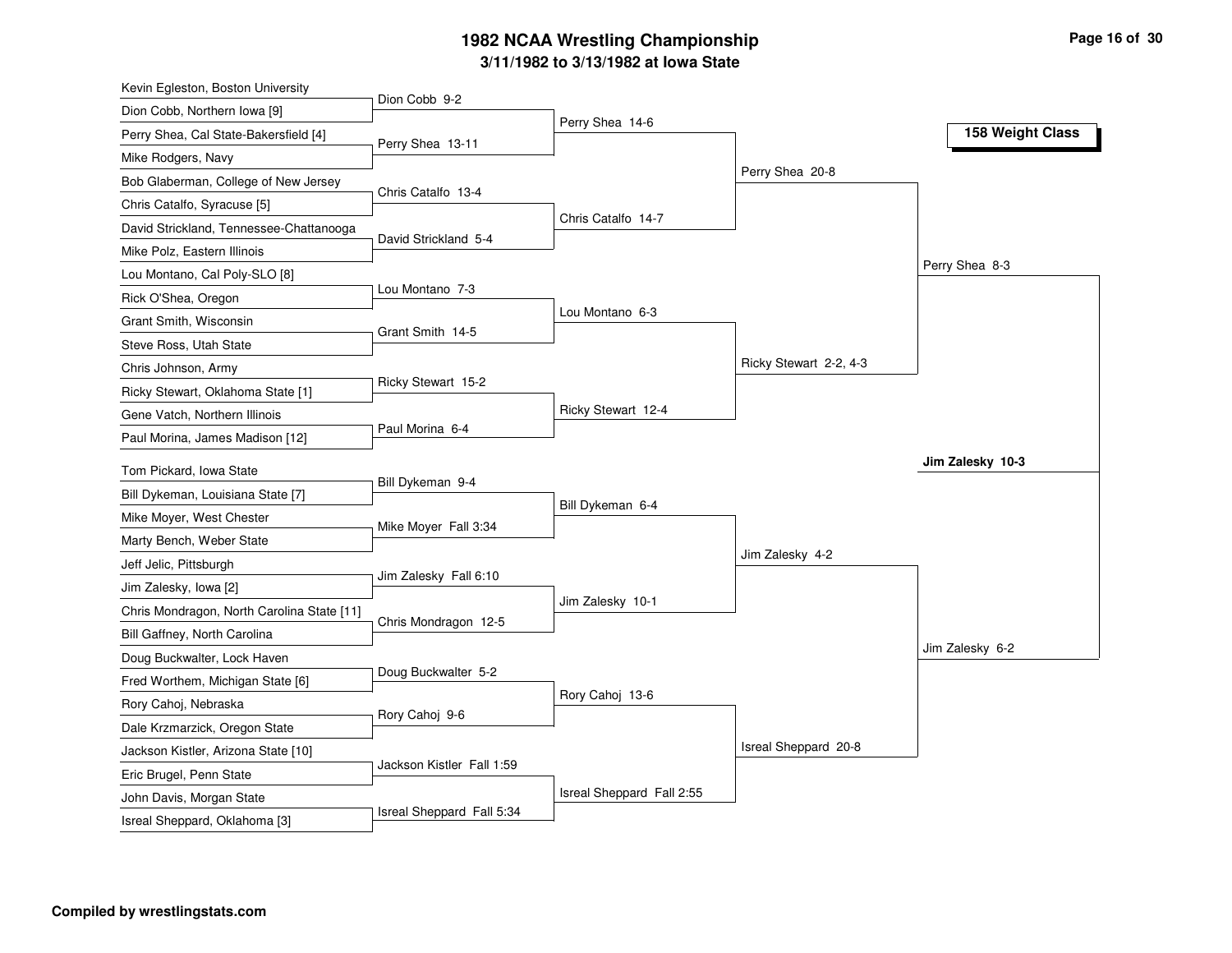## **3/11/1982 to 3/13/1982 at Iowa State 1982 NCAA Wrestling Championship Page <sup>16</sup> of <sup>30</sup>**

| Kevin Egleston, Boston University          |                           |                           |                        |                  |
|--------------------------------------------|---------------------------|---------------------------|------------------------|------------------|
| Dion Cobb, Northern Iowa [9]               | Dion Cobb 9-2             |                           |                        |                  |
| Perry Shea, Cal State-Bakersfield [4]      | Perry Shea 13-11          | Perry Shea 14-6           |                        | 158 Weight Class |
| Mike Rodgers, Navy                         |                           |                           |                        |                  |
| Bob Glaberman, College of New Jersey       |                           |                           | Perry Shea 20-8        |                  |
| Chris Catalfo, Syracuse [5]                | Chris Catalfo 13-4        |                           |                        |                  |
| David Strickland, Tennessee-Chattanooga    |                           | Chris Catalfo 14-7        |                        |                  |
| Mike Polz, Eastern Illinois                | David Strickland 5-4      |                           |                        |                  |
| Lou Montano, Cal Poly-SLO [8]              |                           |                           |                        | Perry Shea 8-3   |
| Rick O'Shea, Oregon                        | Lou Montano 7-3           |                           |                        |                  |
| Grant Smith, Wisconsin                     |                           | Lou Montano 6-3           |                        |                  |
| Steve Ross, Utah State                     | Grant Smith 14-5          |                           |                        |                  |
| Chris Johnson, Army                        |                           |                           | Ricky Stewart 2-2, 4-3 |                  |
| Ricky Stewart, Oklahoma State [1]          | Ricky Stewart 15-2        |                           |                        |                  |
| Gene Vatch, Northern Illinois              |                           | Ricky Stewart 12-4        |                        |                  |
| Paul Morina, James Madison [12]            | Paul Morina 6-4           |                           |                        |                  |
| Tom Pickard, Iowa State                    |                           |                           |                        | Jim Zalesky 10-3 |
| Bill Dykeman, Louisiana State [7]          | Bill Dykeman 9-4          |                           |                        |                  |
| Mike Moyer, West Chester                   |                           | Bill Dykeman 6-4          |                        |                  |
| Marty Bench, Weber State                   | Mike Moyer Fall 3:34      |                           |                        |                  |
| Jeff Jelic, Pittsburgh                     |                           |                           | Jim Zalesky 4-2        |                  |
| Jim Zalesky, lowa [2]                      | Jim Zalesky Fall 6:10     |                           |                        |                  |
| Chris Mondragon, North Carolina State [11] |                           | Jim Zalesky 10-1          |                        |                  |
| Bill Gaffney, North Carolina               | Chris Mondragon 12-5      |                           |                        |                  |
| Doug Buckwalter, Lock Haven                |                           |                           |                        | Jim Zalesky 6-2  |
| Fred Worthem, Michigan State [6]           | Doug Buckwalter 5-2       |                           |                        |                  |
| Rory Cahoj, Nebraska                       |                           | Rory Cahoj 13-6           |                        |                  |
| Dale Krzmarzick, Oregon State              | Rory Cahoj 9-6            |                           |                        |                  |
| Jackson Kistler, Arizona State [10]        |                           |                           | Isreal Sheppard 20-8   |                  |
| Eric Brugel, Penn State                    | Jackson Kistler Fall 1:59 |                           |                        |                  |
| John Davis, Morgan State                   |                           |                           |                        |                  |
|                                            |                           | Isreal Sheppard Fall 2:55 |                        |                  |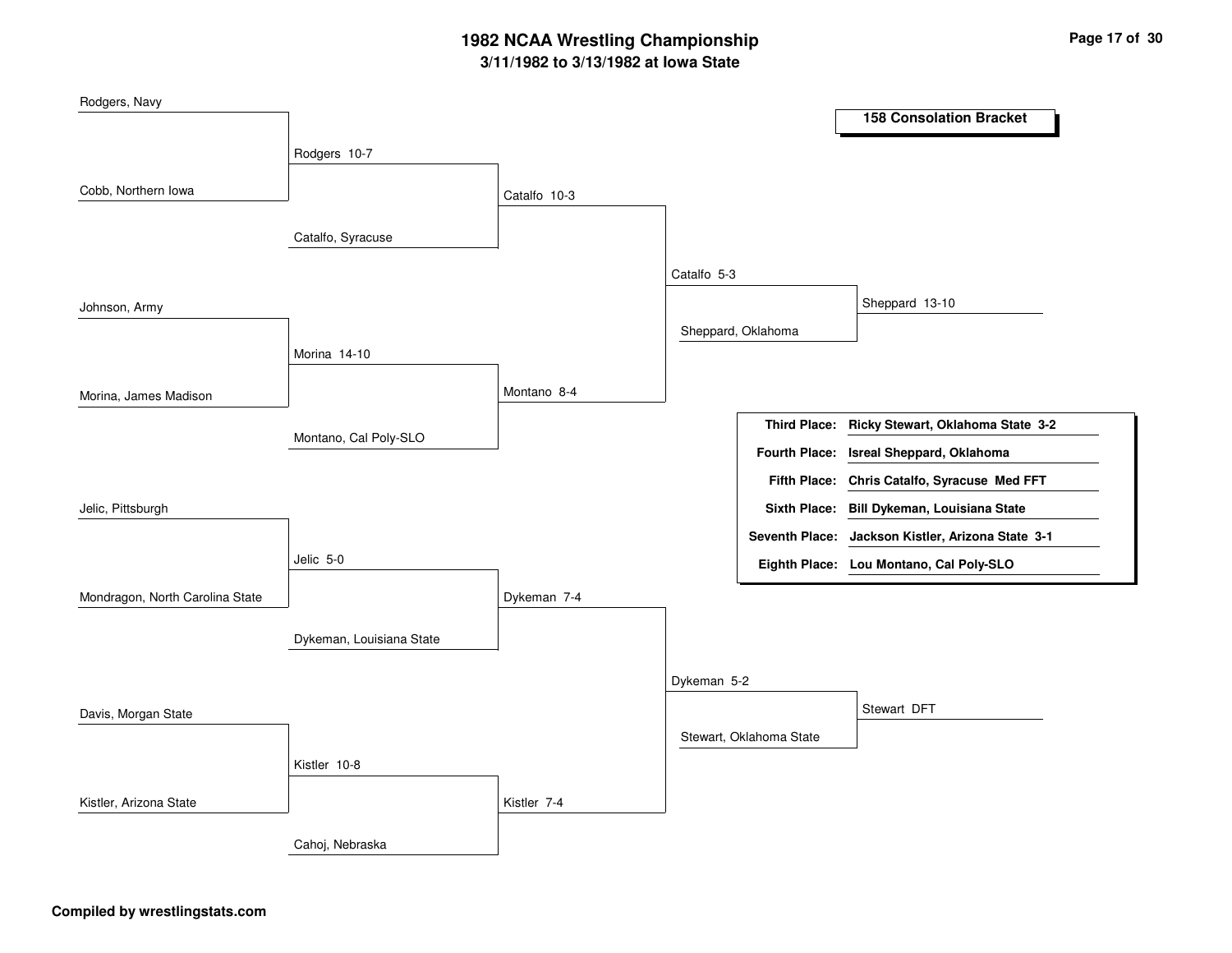## **3/11/1982 to 3/13/1982 at Iowa State 1982 NCAA Wrestling Championship Page <sup>17</sup> of <sup>30</sup>**

| Rodgers, Navy                   |                          |              |             |                         |                                                   |
|---------------------------------|--------------------------|--------------|-------------|-------------------------|---------------------------------------------------|
|                                 |                          |              |             |                         | <b>158 Consolation Bracket</b>                    |
|                                 | Rodgers 10-7             |              |             |                         |                                                   |
|                                 |                          |              |             |                         |                                                   |
| Cobb, Northern Iowa             |                          | Catalfo 10-3 |             |                         |                                                   |
|                                 |                          |              |             |                         |                                                   |
|                                 | Catalfo, Syracuse        |              |             |                         |                                                   |
|                                 |                          |              | Catalfo 5-3 |                         |                                                   |
| Johnson, Army                   |                          |              |             |                         | Sheppard 13-10                                    |
|                                 |                          |              |             | Sheppard, Oklahoma      |                                                   |
|                                 | Morina 14-10             |              |             |                         |                                                   |
|                                 |                          |              |             |                         |                                                   |
| Morina, James Madison           |                          | Montano 8-4  |             |                         |                                                   |
|                                 |                          |              |             | <b>Third Place:</b>     | Ricky Stewart, Oklahoma State 3-2                 |
|                                 | Montano, Cal Poly-SLO    |              |             | <b>Fourth Place:</b>    | Isreal Sheppard, Oklahoma                         |
|                                 |                          |              |             | <b>Fifth Place:</b>     | Chris Catalfo, Syracuse Med FFT                   |
| Jelic, Pittsburgh               |                          |              |             |                         | Sixth Place: Bill Dykeman, Louisiana State        |
|                                 |                          |              |             |                         | Seventh Place: Jackson Kistler, Arizona State 3-1 |
|                                 | Jelic 5-0                |              |             |                         |                                                   |
|                                 |                          |              |             |                         | Eighth Place: Lou Montano, Cal Poly-SLO           |
| Mondragon, North Carolina State |                          | Dykeman 7-4  |             |                         |                                                   |
|                                 |                          |              |             |                         |                                                   |
|                                 | Dykeman, Louisiana State |              |             |                         |                                                   |
|                                 |                          |              | Dykeman 5-2 |                         |                                                   |
|                                 |                          |              |             |                         | Stewart DFT                                       |
| Davis, Morgan State             |                          |              |             | Stewart, Oklahoma State |                                                   |
|                                 |                          |              |             |                         |                                                   |
|                                 | Kistler 10-8             |              |             |                         |                                                   |
| Kistler, Arizona State          |                          | Kistler 7-4  |             |                         |                                                   |
|                                 |                          |              |             |                         |                                                   |
|                                 | Cahoj, Nebraska          |              |             |                         |                                                   |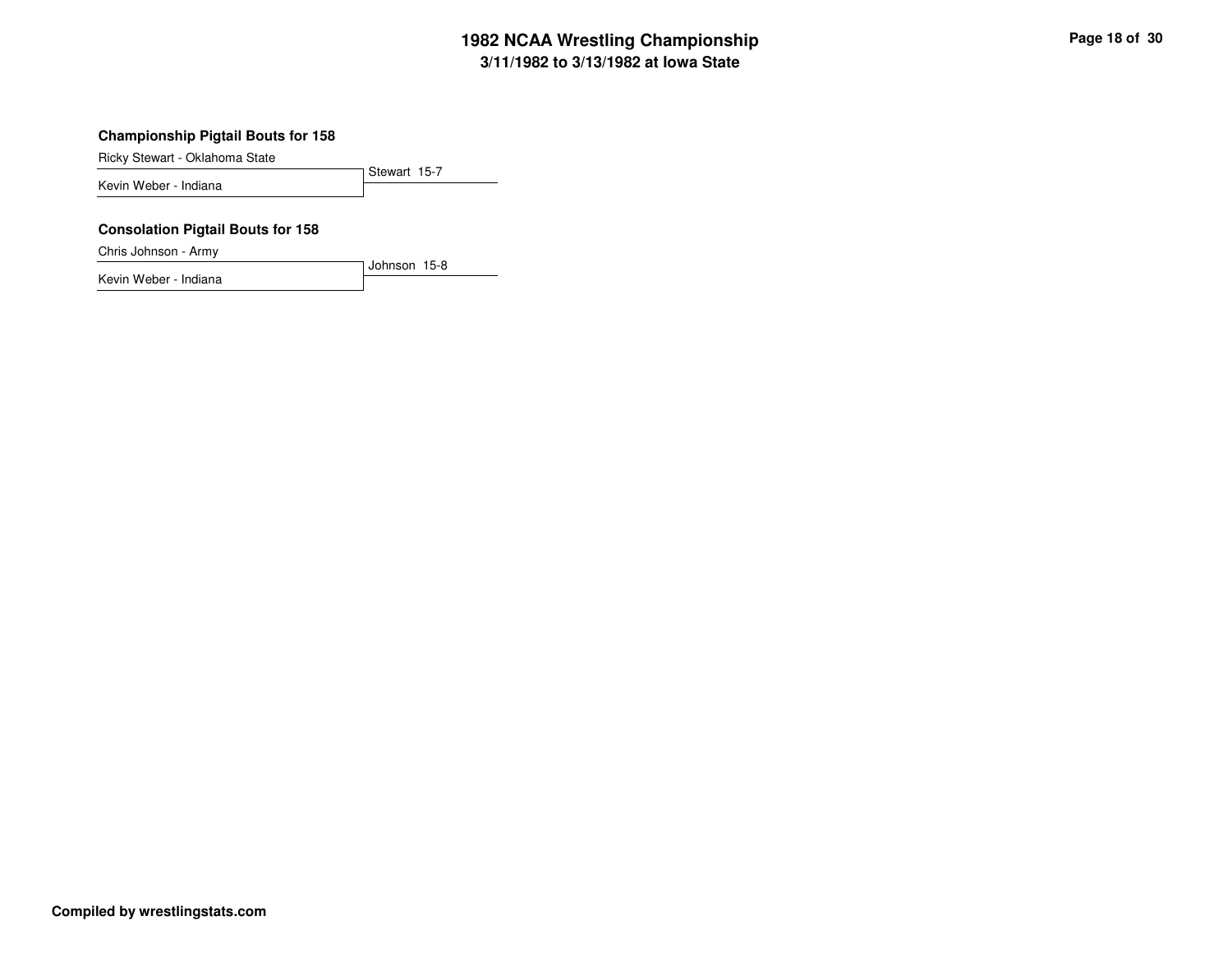## **3/11/1982 to 3/13/1982 at Iowa State 1982 NCAA Wrestling Championship Page <sup>18</sup> of <sup>30</sup>**

#### **Championship Pigtail Bouts for 158**

Ricky Stewart - Oklahoma State

Stewart 15-7 Kevin Weber - Indiana

#### **Consolation Pigtail Bouts for 158**

Chris Johnson - Army

Kevin Weber - Indiana

Johnson 15-8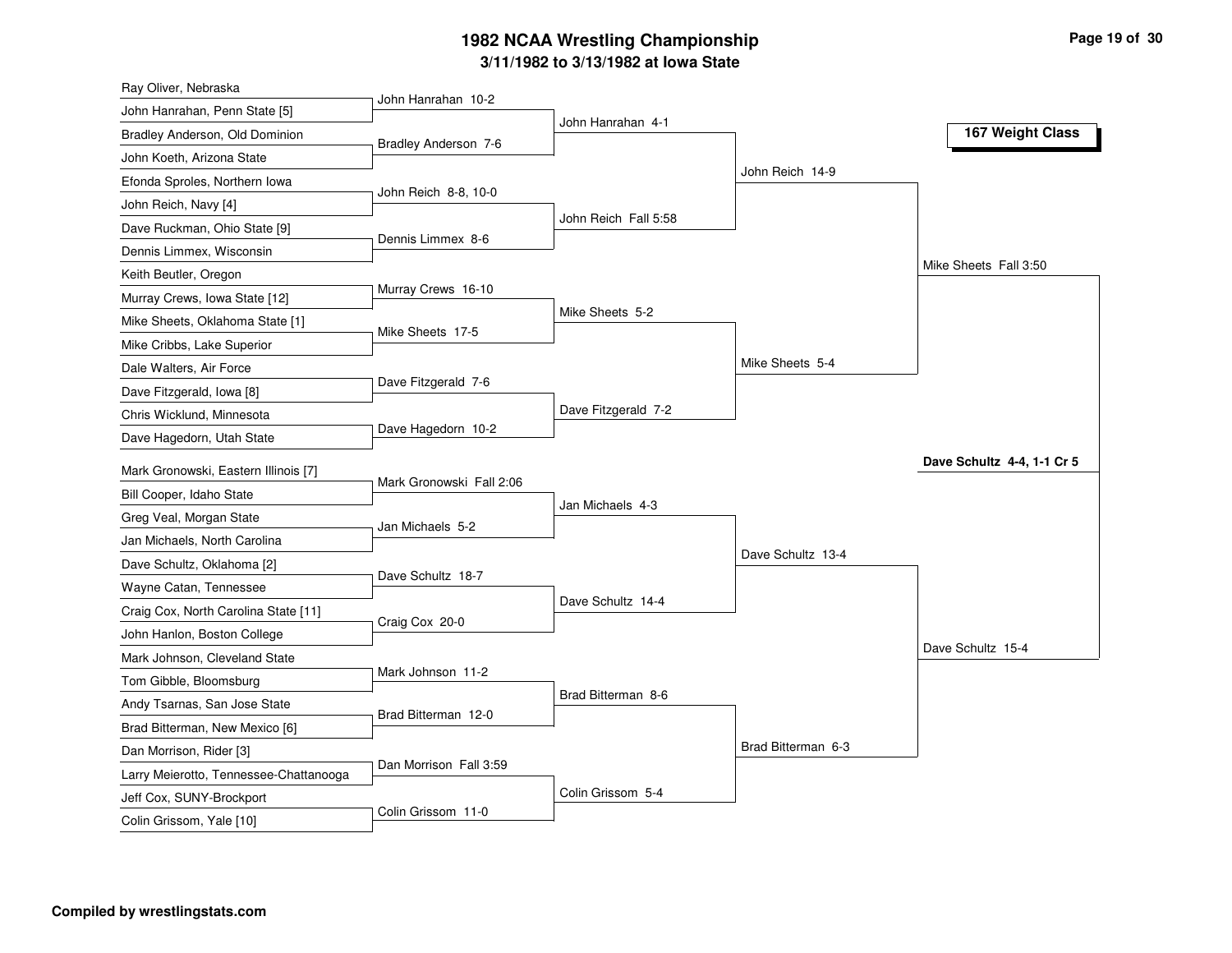## **3/11/1982 to 3/13/1982 at Iowa State 1982 NCAA Wrestling Championship Page <sup>19</sup> of <sup>30</sup>**

| John Hanrahan 10-2<br>John Hanrahan, Penn State [5]<br>John Hanrahan 4-1<br>167 Weight Class<br>Bradley Anderson, Old Dominion<br>Bradley Anderson 7-6<br>John Koeth, Arizona State<br>John Reich 14-9<br>Efonda Sproles, Northern Iowa<br>John Reich 8-8, 10-0<br>John Reich, Navy [4]<br>John Reich Fall 5:58<br>Dave Ruckman, Ohio State [9]<br>Dennis Limmex 8-6<br>Dennis Limmex, Wisconsin<br>Mike Sheets Fall 3:50<br>Keith Beutler, Oregon<br>Murray Crews 16-10<br>Murray Crews, Iowa State [12]<br>Mike Sheets 5-2<br>Mike Sheets, Oklahoma State [1]<br>Mike Sheets 17-5<br>Mike Cribbs, Lake Superior<br>Mike Sheets 5-4<br>Dale Walters, Air Force<br>Dave Fitzgerald 7-6<br>Dave Fitzgerald, Iowa [8]<br>Dave Fitzgerald 7-2<br>Chris Wicklund, Minnesota<br>Dave Hagedorn 10-2<br>Dave Hagedorn, Utah State<br>Dave Schultz 4-4, 1-1 Cr 5<br>Mark Gronowski, Eastern Illinois [7]<br>Mark Gronowski Fall 2:06<br>Bill Cooper, Idaho State<br>Jan Michaels 4-3<br>Greg Veal, Morgan State<br>Jan Michaels 5-2<br>Jan Michaels, North Carolina<br>Dave Schultz 13-4<br>Dave Schultz, Oklahoma [2]<br>Dave Schultz 18-7<br>Wayne Catan, Tennessee<br>Dave Schultz 14-4<br>Craig Cox, North Carolina State [11]<br>Craig Cox 20-0<br>John Hanlon, Boston College<br>Dave Schultz 15-4<br>Mark Johnson, Cleveland State<br>Mark Johnson 11-2<br>Tom Gibble, Bloomsburg<br>Brad Bitterman 8-6<br>Andy Tsarnas, San Jose State<br>Brad Bitterman 12-0<br>Brad Bitterman, New Mexico [6]<br>Brad Bitterman 6-3<br>Dan Morrison, Rider [3]<br>Dan Morrison Fall 3:59<br>Larry Meierotto, Tennessee-Chattanooga | Ray Oliver, Nebraska |  |  |
|----------------------------------------------------------------------------------------------------------------------------------------------------------------------------------------------------------------------------------------------------------------------------------------------------------------------------------------------------------------------------------------------------------------------------------------------------------------------------------------------------------------------------------------------------------------------------------------------------------------------------------------------------------------------------------------------------------------------------------------------------------------------------------------------------------------------------------------------------------------------------------------------------------------------------------------------------------------------------------------------------------------------------------------------------------------------------------------------------------------------------------------------------------------------------------------------------------------------------------------------------------------------------------------------------------------------------------------------------------------------------------------------------------------------------------------------------------------------------------------------------------------------------------------------------------------------------------------------------------------------|----------------------|--|--|
|                                                                                                                                                                                                                                                                                                                                                                                                                                                                                                                                                                                                                                                                                                                                                                                                                                                                                                                                                                                                                                                                                                                                                                                                                                                                                                                                                                                                                                                                                                                                                                                                                      |                      |  |  |
|                                                                                                                                                                                                                                                                                                                                                                                                                                                                                                                                                                                                                                                                                                                                                                                                                                                                                                                                                                                                                                                                                                                                                                                                                                                                                                                                                                                                                                                                                                                                                                                                                      |                      |  |  |
|                                                                                                                                                                                                                                                                                                                                                                                                                                                                                                                                                                                                                                                                                                                                                                                                                                                                                                                                                                                                                                                                                                                                                                                                                                                                                                                                                                                                                                                                                                                                                                                                                      |                      |  |  |
|                                                                                                                                                                                                                                                                                                                                                                                                                                                                                                                                                                                                                                                                                                                                                                                                                                                                                                                                                                                                                                                                                                                                                                                                                                                                                                                                                                                                                                                                                                                                                                                                                      |                      |  |  |
|                                                                                                                                                                                                                                                                                                                                                                                                                                                                                                                                                                                                                                                                                                                                                                                                                                                                                                                                                                                                                                                                                                                                                                                                                                                                                                                                                                                                                                                                                                                                                                                                                      |                      |  |  |
|                                                                                                                                                                                                                                                                                                                                                                                                                                                                                                                                                                                                                                                                                                                                                                                                                                                                                                                                                                                                                                                                                                                                                                                                                                                                                                                                                                                                                                                                                                                                                                                                                      |                      |  |  |
|                                                                                                                                                                                                                                                                                                                                                                                                                                                                                                                                                                                                                                                                                                                                                                                                                                                                                                                                                                                                                                                                                                                                                                                                                                                                                                                                                                                                                                                                                                                                                                                                                      |                      |  |  |
|                                                                                                                                                                                                                                                                                                                                                                                                                                                                                                                                                                                                                                                                                                                                                                                                                                                                                                                                                                                                                                                                                                                                                                                                                                                                                                                                                                                                                                                                                                                                                                                                                      |                      |  |  |
|                                                                                                                                                                                                                                                                                                                                                                                                                                                                                                                                                                                                                                                                                                                                                                                                                                                                                                                                                                                                                                                                                                                                                                                                                                                                                                                                                                                                                                                                                                                                                                                                                      |                      |  |  |
|                                                                                                                                                                                                                                                                                                                                                                                                                                                                                                                                                                                                                                                                                                                                                                                                                                                                                                                                                                                                                                                                                                                                                                                                                                                                                                                                                                                                                                                                                                                                                                                                                      |                      |  |  |
|                                                                                                                                                                                                                                                                                                                                                                                                                                                                                                                                                                                                                                                                                                                                                                                                                                                                                                                                                                                                                                                                                                                                                                                                                                                                                                                                                                                                                                                                                                                                                                                                                      |                      |  |  |
|                                                                                                                                                                                                                                                                                                                                                                                                                                                                                                                                                                                                                                                                                                                                                                                                                                                                                                                                                                                                                                                                                                                                                                                                                                                                                                                                                                                                                                                                                                                                                                                                                      |                      |  |  |
|                                                                                                                                                                                                                                                                                                                                                                                                                                                                                                                                                                                                                                                                                                                                                                                                                                                                                                                                                                                                                                                                                                                                                                                                                                                                                                                                                                                                                                                                                                                                                                                                                      |                      |  |  |
|                                                                                                                                                                                                                                                                                                                                                                                                                                                                                                                                                                                                                                                                                                                                                                                                                                                                                                                                                                                                                                                                                                                                                                                                                                                                                                                                                                                                                                                                                                                                                                                                                      |                      |  |  |
|                                                                                                                                                                                                                                                                                                                                                                                                                                                                                                                                                                                                                                                                                                                                                                                                                                                                                                                                                                                                                                                                                                                                                                                                                                                                                                                                                                                                                                                                                                                                                                                                                      |                      |  |  |
|                                                                                                                                                                                                                                                                                                                                                                                                                                                                                                                                                                                                                                                                                                                                                                                                                                                                                                                                                                                                                                                                                                                                                                                                                                                                                                                                                                                                                                                                                                                                                                                                                      |                      |  |  |
|                                                                                                                                                                                                                                                                                                                                                                                                                                                                                                                                                                                                                                                                                                                                                                                                                                                                                                                                                                                                                                                                                                                                                                                                                                                                                                                                                                                                                                                                                                                                                                                                                      |                      |  |  |
|                                                                                                                                                                                                                                                                                                                                                                                                                                                                                                                                                                                                                                                                                                                                                                                                                                                                                                                                                                                                                                                                                                                                                                                                                                                                                                                                                                                                                                                                                                                                                                                                                      |                      |  |  |
|                                                                                                                                                                                                                                                                                                                                                                                                                                                                                                                                                                                                                                                                                                                                                                                                                                                                                                                                                                                                                                                                                                                                                                                                                                                                                                                                                                                                                                                                                                                                                                                                                      |                      |  |  |
|                                                                                                                                                                                                                                                                                                                                                                                                                                                                                                                                                                                                                                                                                                                                                                                                                                                                                                                                                                                                                                                                                                                                                                                                                                                                                                                                                                                                                                                                                                                                                                                                                      |                      |  |  |
|                                                                                                                                                                                                                                                                                                                                                                                                                                                                                                                                                                                                                                                                                                                                                                                                                                                                                                                                                                                                                                                                                                                                                                                                                                                                                                                                                                                                                                                                                                                                                                                                                      |                      |  |  |
|                                                                                                                                                                                                                                                                                                                                                                                                                                                                                                                                                                                                                                                                                                                                                                                                                                                                                                                                                                                                                                                                                                                                                                                                                                                                                                                                                                                                                                                                                                                                                                                                                      |                      |  |  |
|                                                                                                                                                                                                                                                                                                                                                                                                                                                                                                                                                                                                                                                                                                                                                                                                                                                                                                                                                                                                                                                                                                                                                                                                                                                                                                                                                                                                                                                                                                                                                                                                                      |                      |  |  |
|                                                                                                                                                                                                                                                                                                                                                                                                                                                                                                                                                                                                                                                                                                                                                                                                                                                                                                                                                                                                                                                                                                                                                                                                                                                                                                                                                                                                                                                                                                                                                                                                                      |                      |  |  |
|                                                                                                                                                                                                                                                                                                                                                                                                                                                                                                                                                                                                                                                                                                                                                                                                                                                                                                                                                                                                                                                                                                                                                                                                                                                                                                                                                                                                                                                                                                                                                                                                                      |                      |  |  |
|                                                                                                                                                                                                                                                                                                                                                                                                                                                                                                                                                                                                                                                                                                                                                                                                                                                                                                                                                                                                                                                                                                                                                                                                                                                                                                                                                                                                                                                                                                                                                                                                                      |                      |  |  |
|                                                                                                                                                                                                                                                                                                                                                                                                                                                                                                                                                                                                                                                                                                                                                                                                                                                                                                                                                                                                                                                                                                                                                                                                                                                                                                                                                                                                                                                                                                                                                                                                                      |                      |  |  |
|                                                                                                                                                                                                                                                                                                                                                                                                                                                                                                                                                                                                                                                                                                                                                                                                                                                                                                                                                                                                                                                                                                                                                                                                                                                                                                                                                                                                                                                                                                                                                                                                                      |                      |  |  |
|                                                                                                                                                                                                                                                                                                                                                                                                                                                                                                                                                                                                                                                                                                                                                                                                                                                                                                                                                                                                                                                                                                                                                                                                                                                                                                                                                                                                                                                                                                                                                                                                                      |                      |  |  |
| Colin Grissom 5-4                                                                                                                                                                                                                                                                                                                                                                                                                                                                                                                                                                                                                                                                                                                                                                                                                                                                                                                                                                                                                                                                                                                                                                                                                                                                                                                                                                                                                                                                                                                                                                                                    |                      |  |  |
| Jeff Cox, SUNY-Brockport<br>Colin Grissom 11-0<br>Colin Grissom, Yale [10]                                                                                                                                                                                                                                                                                                                                                                                                                                                                                                                                                                                                                                                                                                                                                                                                                                                                                                                                                                                                                                                                                                                                                                                                                                                                                                                                                                                                                                                                                                                                           |                      |  |  |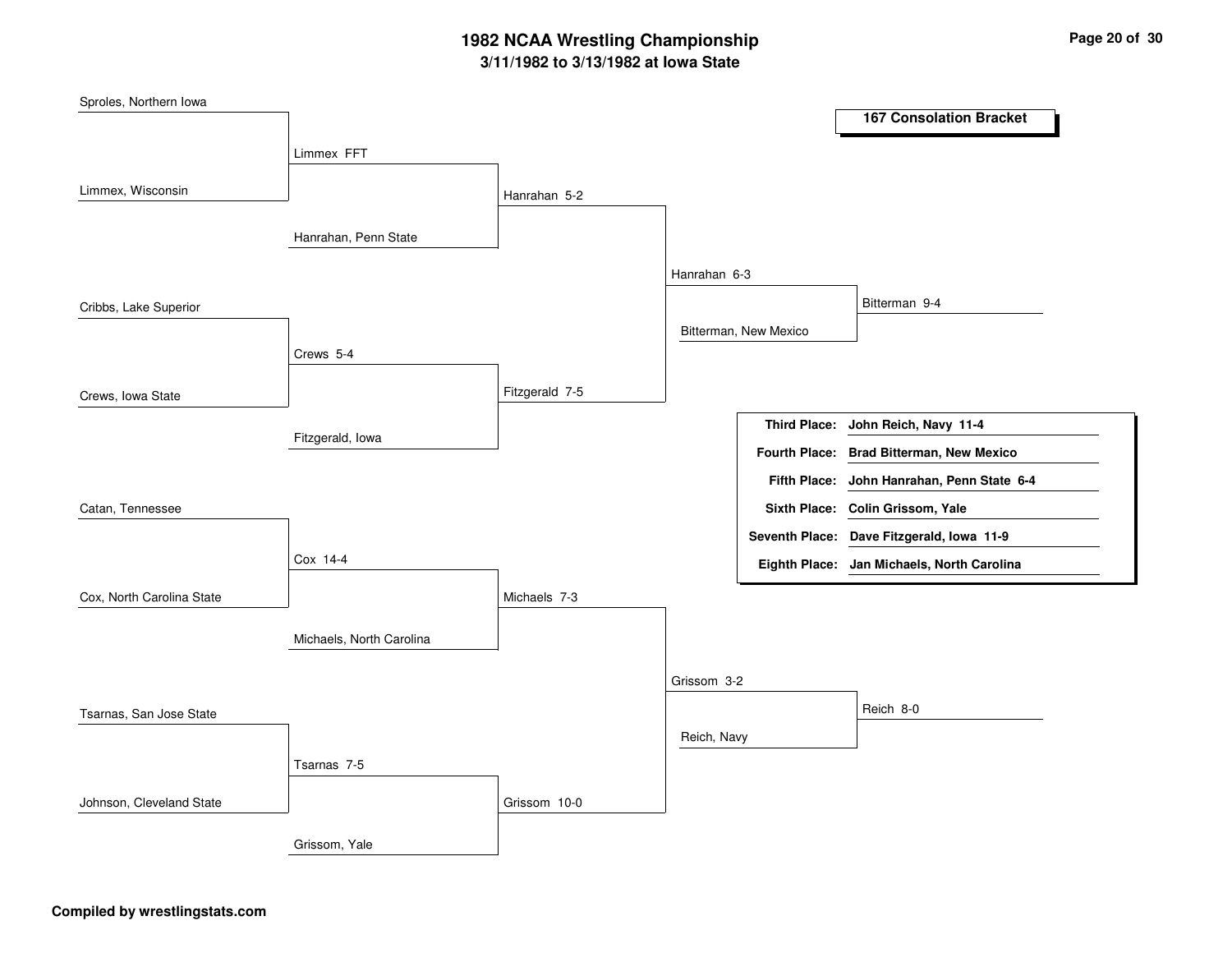## **3/11/1982 to 3/13/1982 at Iowa State 1982 NCAA Wrestling Championship Page <sup>20</sup> of <sup>30</sup>**

| Sproles, Northern Iowa    |                          |                |              |                       |                                            |
|---------------------------|--------------------------|----------------|--------------|-----------------------|--------------------------------------------|
|                           |                          |                |              |                       | <b>167 Consolation Bracket</b>             |
|                           | Limmex FFT               |                |              |                       |                                            |
|                           |                          |                |              |                       |                                            |
| Limmex, Wisconsin         |                          | Hanrahan 5-2   |              |                       |                                            |
|                           |                          |                |              |                       |                                            |
|                           | Hanrahan, Penn State     |                |              |                       |                                            |
|                           |                          |                | Hanrahan 6-3 |                       |                                            |
|                           |                          |                |              |                       | Bitterman 9-4                              |
| Cribbs, Lake Superior     |                          |                |              |                       |                                            |
|                           |                          |                |              | Bitterman, New Mexico |                                            |
|                           | Crews 5-4                |                |              |                       |                                            |
| Crews, Iowa State         |                          | Fitzgerald 7-5 |              |                       |                                            |
|                           |                          |                |              |                       | Third Place: John Reich, Navy 11-4         |
|                           | Fitzgerald, Iowa         |                |              |                       |                                            |
|                           |                          |                |              |                       | Fourth Place: Brad Bitterman, New Mexico   |
|                           |                          |                |              |                       | Fifth Place: John Hanrahan, Penn State 6-4 |
| Catan, Tennessee          |                          |                |              |                       | Sixth Place: Colin Grissom, Yale           |
|                           |                          |                |              |                       | Seventh Place: Dave Fitzgerald, Iowa 11-9  |
|                           | Cox 14-4                 |                |              |                       | Eighth Place: Jan Michaels, North Carolina |
|                           |                          |                |              |                       |                                            |
| Cox, North Carolina State |                          | Michaels 7-3   |              |                       |                                            |
|                           | Michaels, North Carolina |                |              |                       |                                            |
|                           |                          |                |              |                       |                                            |
|                           |                          |                | Grissom 3-2  |                       |                                            |
| Tsarnas, San Jose State   |                          |                |              |                       | Reich 8-0                                  |
|                           |                          |                | Reich, Navy  |                       |                                            |
|                           |                          |                |              |                       |                                            |
|                           | Tsarnas 7-5              |                |              |                       |                                            |
| Johnson, Cleveland State  |                          | Grissom 10-0   |              |                       |                                            |
|                           |                          |                |              |                       |                                            |
|                           | Grissom, Yale            |                |              |                       |                                            |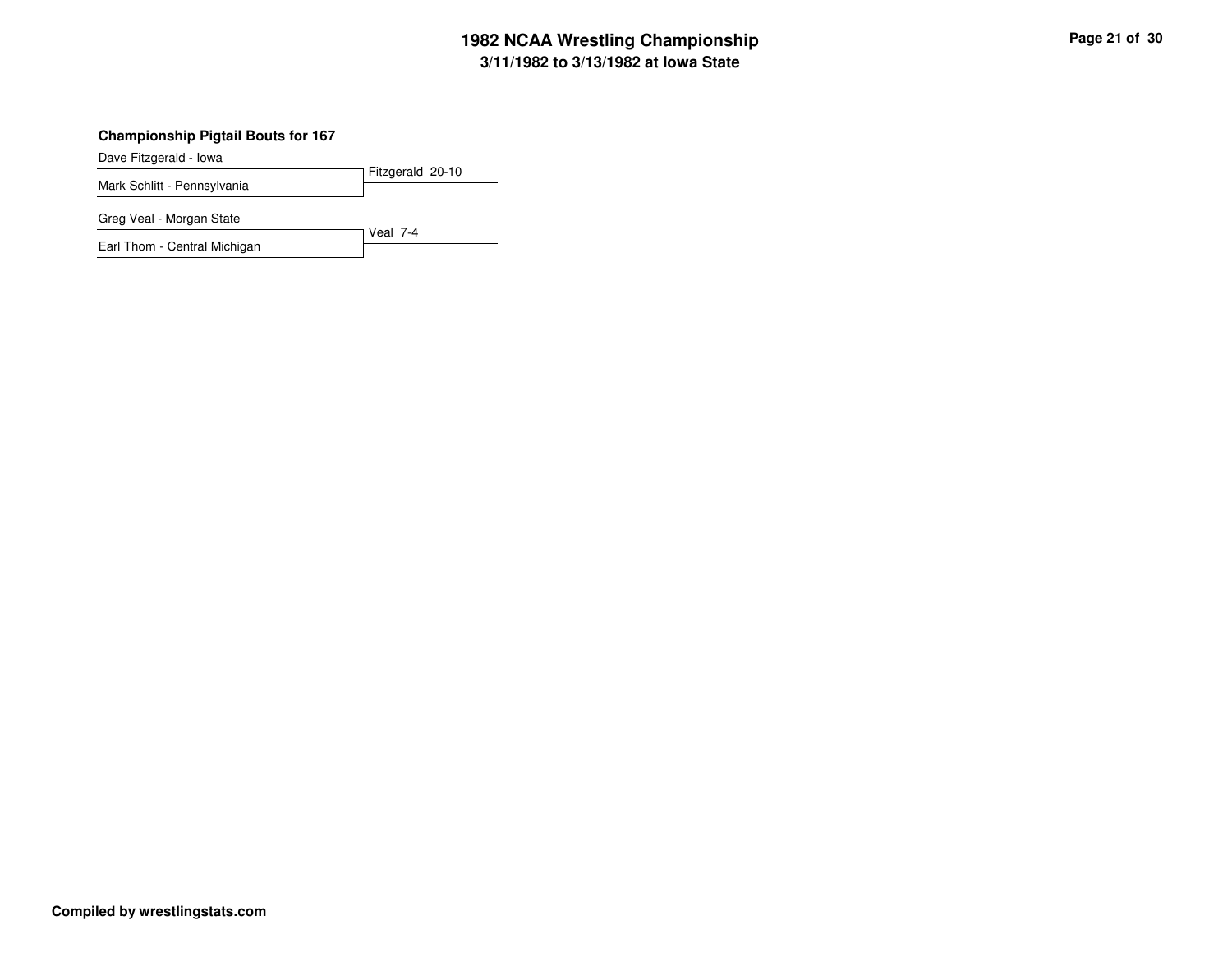## **3/11/1982 to 3/13/1982 at Iowa State 1982 NCAA Wrestling Championship Page <sup>21</sup> of <sup>30</sup>**

#### **Championship Pigtail Bouts for 167**

Dave Fitzgerald - Iowa

Fitzgerald 20-10 Mark Schlitt - Pennsylvania

Greg Veal - Morgan State

Veal 7-4 Earl Thom - Central Michigan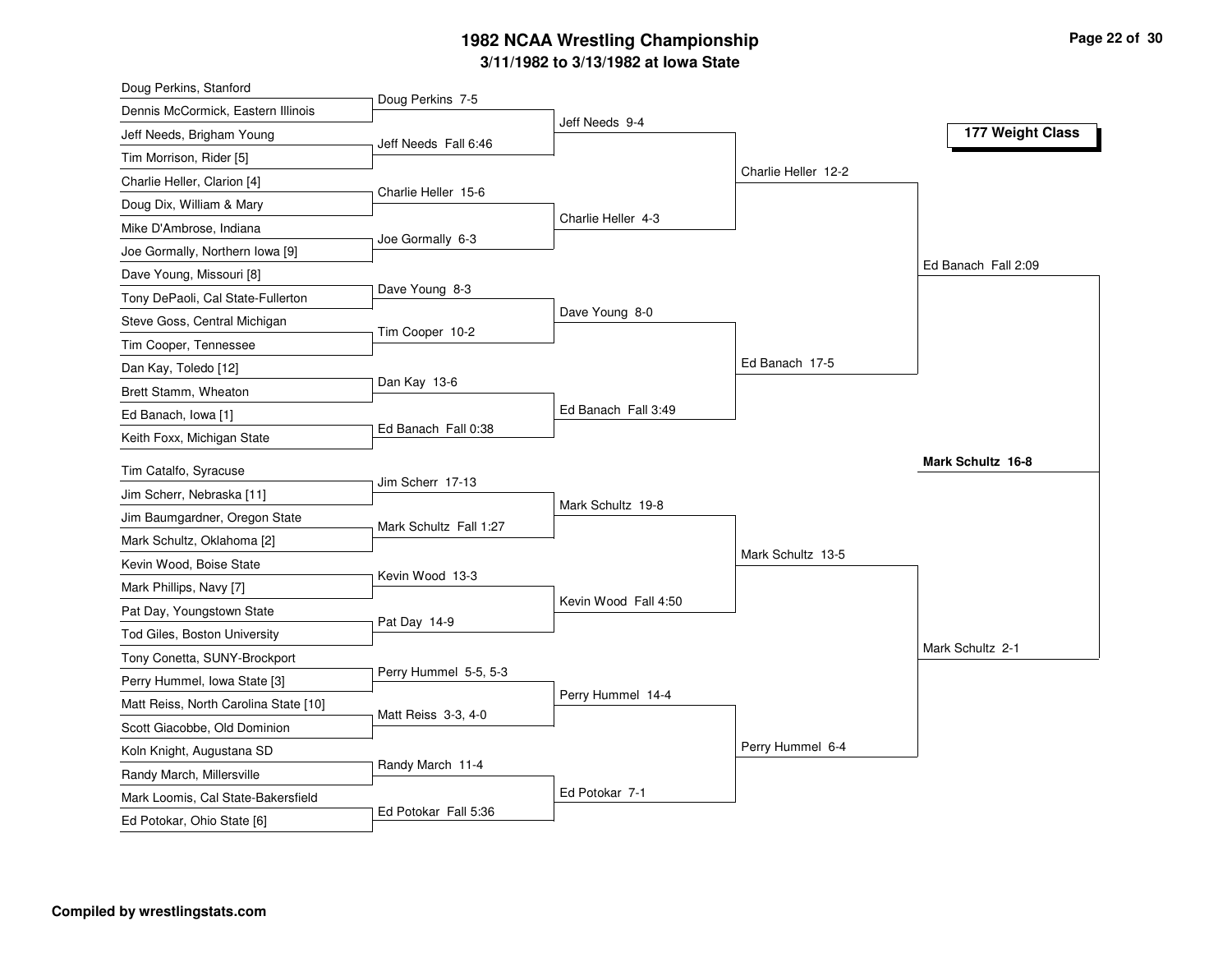### **3/11/1982 to 3/13/1982 at Iowa State 1982 NCAA Wrestling Championship Page <sup>22</sup> of <sup>30</sup>**

| Doug Perkins, Stanford                |                        |                      |                     |                     |
|---------------------------------------|------------------------|----------------------|---------------------|---------------------|
| Dennis McCormick, Eastern Illinois    | Doug Perkins 7-5       |                      |                     |                     |
| Jeff Needs, Brigham Young             | Jeff Needs Fall 6:46   | Jeff Needs 9-4       |                     | 177 Weight Class    |
| Tim Morrison, Rider [5]               |                        |                      |                     |                     |
| Charlie Heller, Clarion [4]           |                        |                      | Charlie Heller 12-2 |                     |
| Doug Dix, William & Mary              | Charlie Heller 15-6    |                      |                     |                     |
| Mike D'Ambrose, Indiana               |                        | Charlie Heller 4-3   |                     |                     |
| Joe Gormally, Northern Iowa [9]       | Joe Gormally 6-3       |                      |                     |                     |
| Dave Young, Missouri [8]              |                        |                      |                     | Ed Banach Fall 2:09 |
| Tony DePaoli, Cal State-Fullerton     | Dave Young 8-3         |                      |                     |                     |
| Steve Goss, Central Michigan          |                        | Dave Young 8-0       |                     |                     |
| Tim Cooper, Tennessee                 | Tim Cooper 10-2        |                      |                     |                     |
| Dan Kay, Toledo [12]                  |                        |                      | Ed Banach 17-5      |                     |
| Brett Stamm, Wheaton                  | Dan Kay 13-6           |                      |                     |                     |
| Ed Banach, Iowa [1]                   |                        | Ed Banach Fall 3:49  |                     |                     |
| Keith Foxx, Michigan State            | Ed Banach Fall 0:38    |                      |                     |                     |
| Tim Catalfo, Syracuse                 |                        |                      |                     | Mark Schultz 16-8   |
| Jim Scherr, Nebraska [11]             | Jim Scherr 17-13       |                      |                     |                     |
| Jim Baumgardner, Oregon State         |                        | Mark Schultz 19-8    |                     |                     |
| Mark Schultz, Oklahoma [2]            | Mark Schultz Fall 1:27 |                      |                     |                     |
| Kevin Wood, Boise State               |                        |                      | Mark Schultz 13-5   |                     |
| Mark Phillips, Navy [7]               | Kevin Wood 13-3        |                      |                     |                     |
| Pat Day, Youngstown State             |                        | Kevin Wood Fall 4:50 |                     |                     |
| Tod Giles, Boston University          | Pat Day 14-9           |                      |                     |                     |
| Tony Conetta, SUNY-Brockport          |                        |                      |                     | Mark Schultz 2-1    |
| Perry Hummel, Iowa State [3]          | Perry Hummel 5-5, 5-3  |                      |                     |                     |
| Matt Reiss, North Carolina State [10] |                        | Perry Hummel 14-4    |                     |                     |
| Scott Giacobbe, Old Dominion          | Matt Reiss 3-3, 4-0    |                      |                     |                     |
| Koln Knight, Augustana SD             |                        |                      | Perry Hummel 6-4    |                     |
| Randy March, Millersville             | Randy March 11-4       |                      |                     |                     |
| Mark Loomis, Cal State-Bakersfield    |                        | Ed Potokar 7-1       |                     |                     |
| Ed Potokar, Ohio State [6]            | Ed Potokar Fall 5:36   |                      |                     |                     |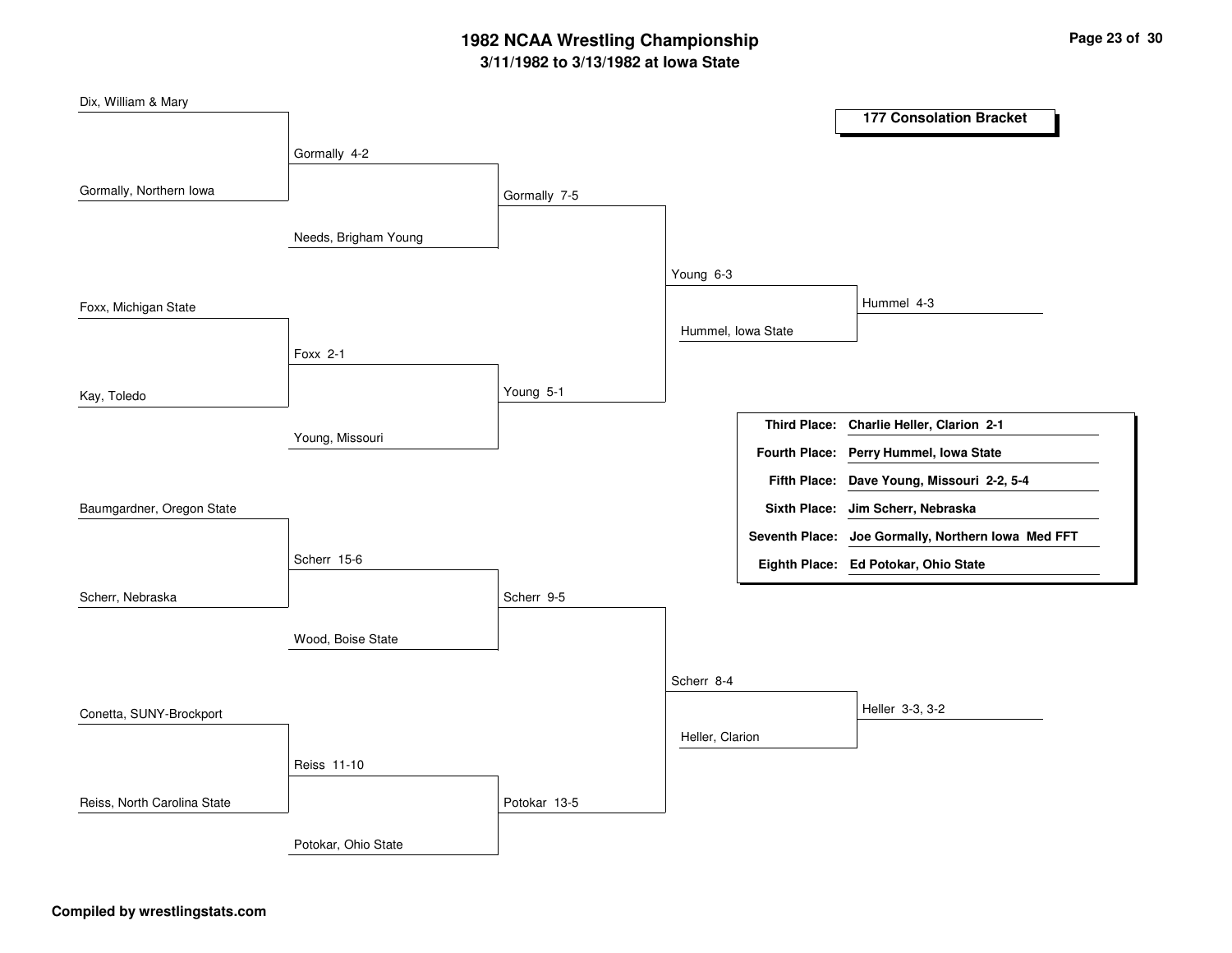## **3/11/1982 to 3/13/1982 at Iowa State 1982 NCAA Wrestling Championship Page <sup>23</sup> of <sup>30</sup>**

| Dix, William & Mary         |                      |              |                    |                                                    |
|-----------------------------|----------------------|--------------|--------------------|----------------------------------------------------|
|                             |                      |              |                    | <b>177 Consolation Bracket</b>                     |
|                             | Gormally 4-2         |              |                    |                                                    |
| Gormally, Northern Iowa     |                      |              |                    |                                                    |
|                             |                      | Gormally 7-5 |                    |                                                    |
|                             | Needs, Brigham Young |              |                    |                                                    |
|                             |                      |              |                    |                                                    |
|                             |                      |              | Young 6-3          |                                                    |
| Foxx, Michigan State        |                      |              |                    | Hummel 4-3                                         |
|                             |                      |              | Hummel, Iowa State |                                                    |
|                             | Foxx 2-1             |              |                    |                                                    |
|                             |                      |              |                    |                                                    |
| Kay, Toledo                 |                      | Young 5-1    |                    |                                                    |
|                             | Young, Missouri      |              |                    | Third Place: Charlie Heller, Clarion 2-1           |
|                             |                      |              |                    | Fourth Place: Perry Hummel, Iowa State             |
|                             |                      |              |                    | Fifth Place: Dave Young, Missouri 2-2, 5-4         |
| Baumgardner, Oregon State   |                      |              |                    | Sixth Place: Jim Scherr, Nebraska                  |
|                             |                      |              |                    | Seventh Place: Joe Gormally, Northern Iowa Med FFT |
|                             | Scherr 15-6          |              |                    | Eighth Place: Ed Potokar, Ohio State               |
|                             |                      |              |                    |                                                    |
| Scherr, Nebraska            |                      | Scherr 9-5   |                    |                                                    |
|                             | Wood, Boise State    |              |                    |                                                    |
|                             |                      |              |                    |                                                    |
|                             |                      |              | Scherr 8-4         |                                                    |
| Conetta, SUNY-Brockport     |                      |              |                    | Heller 3-3, 3-2                                    |
|                             |                      |              | Heller, Clarion    |                                                    |
|                             | Reiss 11-10          |              |                    |                                                    |
|                             |                      |              |                    |                                                    |
| Reiss, North Carolina State |                      | Potokar 13-5 |                    |                                                    |
|                             | Potokar, Ohio State  |              |                    |                                                    |
|                             |                      |              |                    |                                                    |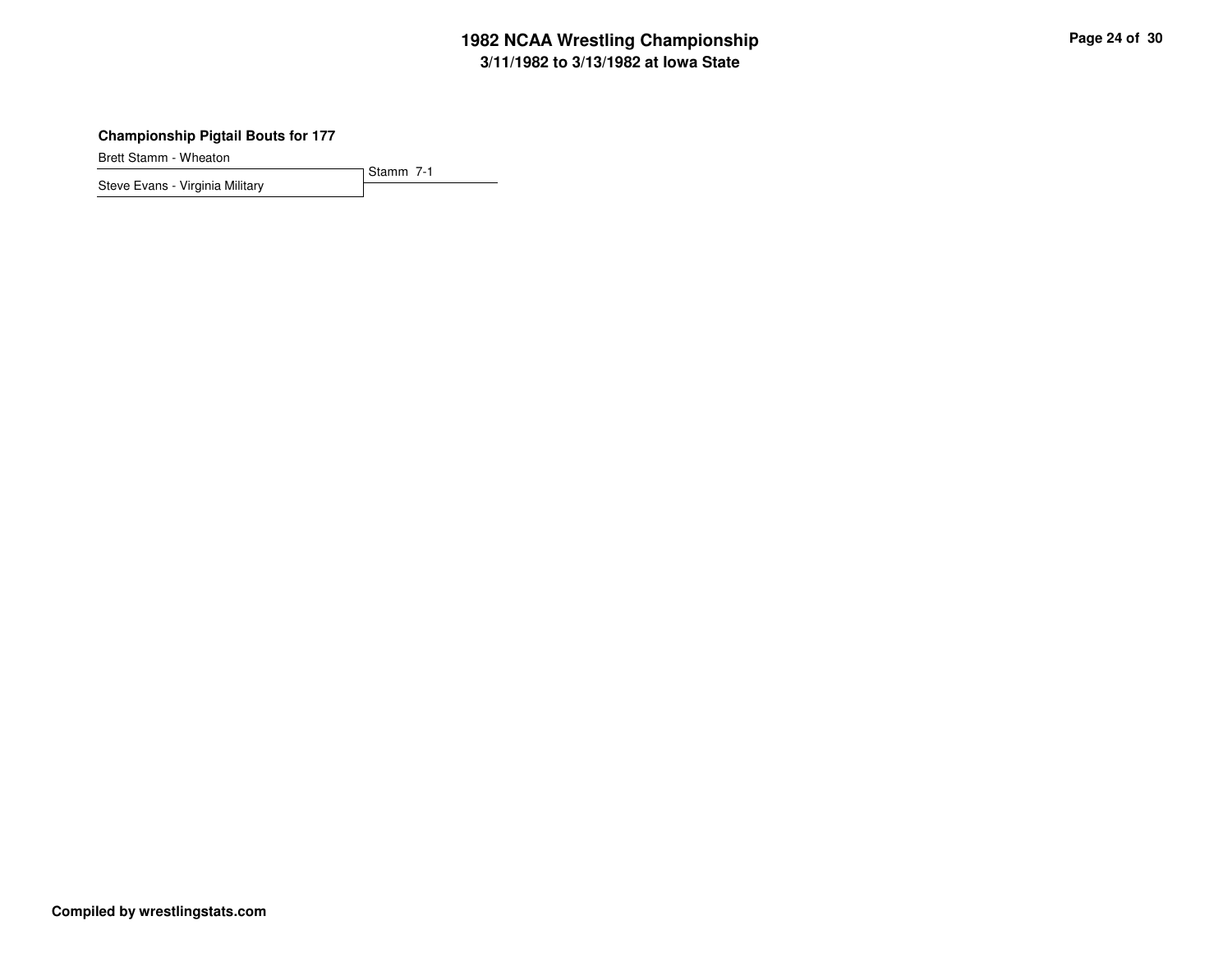## **3/11/1982 to 3/13/1982 at Iowa State 1982 NCAA Wrestling Championship Page <sup>24</sup> of <sup>30</sup>**

#### **Championship Pigtail Bouts for 177**

Brett Stamm - Wheaton

Stamm 7-1 Steve Evans - Virginia Military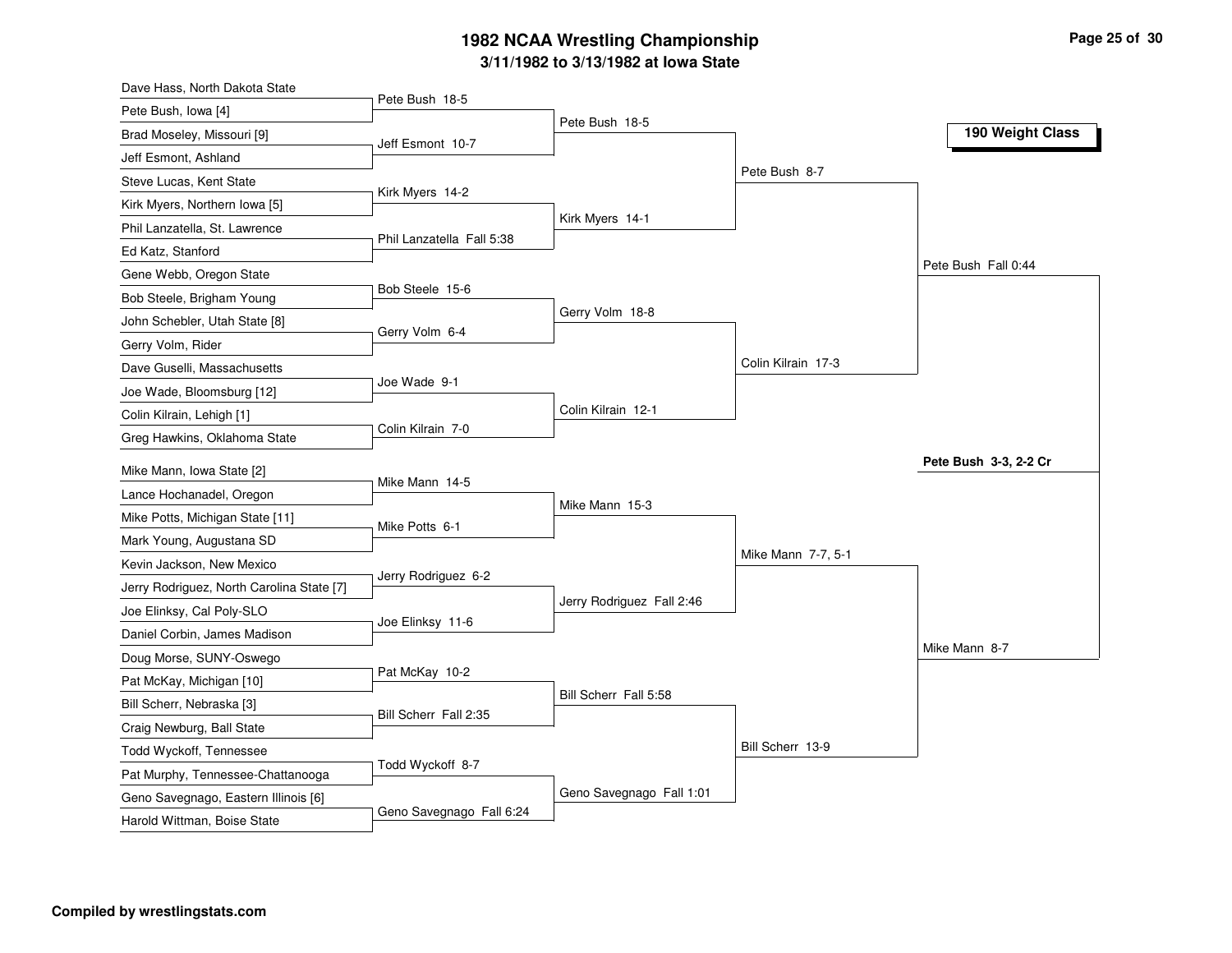#### **3/11/1982 to 3/13/1982 at Iowa State 1982 NCAA Wrestling Championship Page <sup>25</sup> of <sup>30</sup>**

| Dave Hass, North Dakota State                         |                           |                           |                    |                       |
|-------------------------------------------------------|---------------------------|---------------------------|--------------------|-----------------------|
| Pete Bush, Iowa [4]                                   | Pete Bush 18-5            |                           |                    |                       |
| Brad Moseley, Missouri [9]                            | Jeff Esmont 10-7          | Pete Bush 18-5            |                    | 190 Weight Class      |
| Jeff Esmont, Ashland                                  |                           |                           |                    |                       |
| Steve Lucas, Kent State                               |                           |                           | Pete Bush 8-7      |                       |
| Kirk Myers, Northern Iowa [5]                         | Kirk Myers 14-2           |                           |                    |                       |
| Phil Lanzatella, St. Lawrence                         |                           | Kirk Myers 14-1           |                    |                       |
| Ed Katz, Stanford                                     | Phil Lanzatella Fall 5:38 |                           |                    |                       |
| Gene Webb, Oregon State                               |                           |                           |                    | Pete Bush Fall 0:44   |
| Bob Steele, Brigham Young                             | Bob Steele 15-6           |                           |                    |                       |
| John Schebler, Utah State [8]                         |                           | Gerry Volm 18-8           |                    |                       |
| Gerry Volm, Rider                                     | Gerry Volm 6-4            |                           |                    |                       |
| Dave Guselli, Massachusetts                           |                           |                           | Colin Kilrain 17-3 |                       |
| Joe Wade, Bloomsburg [12]                             | Joe Wade 9-1              |                           |                    |                       |
| Colin Kilrain, Lehigh [1]                             |                           | Colin Kilrain 12-1        |                    |                       |
| Greg Hawkins, Oklahoma State                          | Colin Kilrain 7-0         |                           |                    |                       |
| Mike Mann, Iowa State [2]                             |                           |                           |                    | Pete Bush 3-3, 2-2 Cr |
| Lance Hochanadel, Oregon                              | Mike Mann 14-5            |                           |                    |                       |
| Mike Potts, Michigan State [11]                       |                           | Mike Mann 15-3            |                    |                       |
| Mark Young, Augustana SD                              | Mike Potts 6-1            |                           |                    |                       |
| Kevin Jackson, New Mexico                             |                           |                           | Mike Mann 7-7, 5-1 |                       |
| Jerry Rodriguez, North Carolina State [7]             | Jerry Rodriguez 6-2       |                           |                    |                       |
| Joe Elinksy, Cal Poly-SLO                             |                           | Jerry Rodriguez Fall 2:46 |                    |                       |
| Daniel Corbin, James Madison                          | Joe Elinksy 11-6          |                           |                    |                       |
| Doug Morse, SUNY-Oswego                               |                           |                           |                    | Mike Mann 8-7         |
|                                                       | Pat McKay 10-2            |                           |                    |                       |
| Pat McKay, Michigan [10]<br>Bill Scherr, Nebraska [3] |                           | Bill Scherr Fall 5:58     |                    |                       |
|                                                       | Bill Scherr Fall 2:35     |                           |                    |                       |
| Craig Newburg, Ball State                             |                           |                           | Bill Scherr 13-9   |                       |
| Todd Wyckoff, Tennessee                               | Todd Wyckoff 8-7          |                           |                    |                       |
| Pat Murphy, Tennessee-Chattanooga                     |                           | Geno Savegnago Fall 1:01  |                    |                       |
| Geno Savegnago, Eastern Illinois [6]                  | Geno Savegnago Fall 6:24  |                           |                    |                       |
| Harold Wittman, Boise State                           |                           |                           |                    |                       |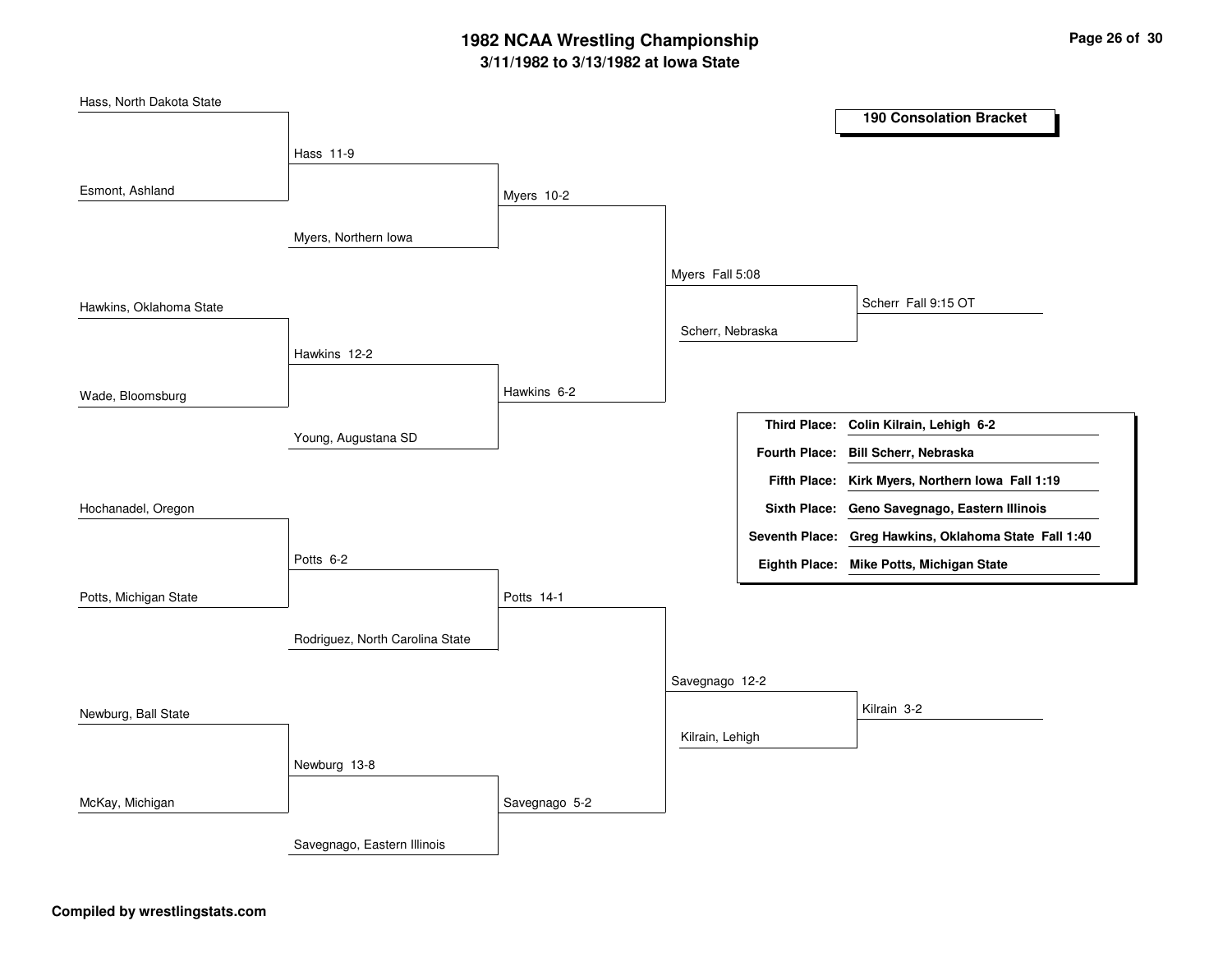## **3/11/1982 to 3/13/1982 at Iowa State 1982 NCAA Wrestling Championship Page <sup>26</sup> of <sup>30</sup>**

| Hass, North Dakota State |                                 |               |                  |                                                       |
|--------------------------|---------------------------------|---------------|------------------|-------------------------------------------------------|
|                          |                                 |               |                  | <b>190 Consolation Bracket</b>                        |
|                          | Hass 11-9                       |               |                  |                                                       |
| Esmont, Ashland          |                                 | Myers 10-2    |                  |                                                       |
|                          | Myers, Northern Iowa            |               |                  |                                                       |
|                          |                                 |               | Myers Fall 5:08  |                                                       |
| Hawkins, Oklahoma State  |                                 |               |                  | Scherr Fall 9:15 OT                                   |
|                          | Hawkins 12-2                    |               | Scherr, Nebraska |                                                       |
|                          |                                 |               |                  |                                                       |
| Wade, Bloomsburg         |                                 | Hawkins 6-2   |                  |                                                       |
|                          | Young, Augustana SD             |               |                  | Third Place: Colin Kilrain, Lehigh 6-2                |
|                          |                                 |               |                  | Fourth Place: Bill Scherr, Nebraska                   |
|                          |                                 |               |                  | Fifth Place: Kirk Myers, Northern Iowa Fall 1:19      |
| Hochanadel, Oregon       |                                 |               |                  | Sixth Place: Geno Savegnago, Eastern Illinois         |
|                          |                                 |               |                  | Seventh Place: Greg Hawkins, Oklahoma State Fall 1:40 |
|                          | Potts 6-2                       |               |                  | Eighth Place: Mike Potts, Michigan State              |
| Potts, Michigan State    |                                 | Potts 14-1    |                  |                                                       |
|                          | Rodriguez, North Carolina State |               |                  |                                                       |
|                          |                                 |               | Savegnago 12-2   |                                                       |
| Newburg, Ball State      |                                 |               |                  | Kilrain 3-2                                           |
|                          |                                 |               | Kilrain, Lehigh  |                                                       |
|                          | Newburg 13-8                    |               |                  |                                                       |
| McKay, Michigan          |                                 | Savegnago 5-2 |                  |                                                       |
|                          | Savegnago, Eastern Illinois     |               |                  |                                                       |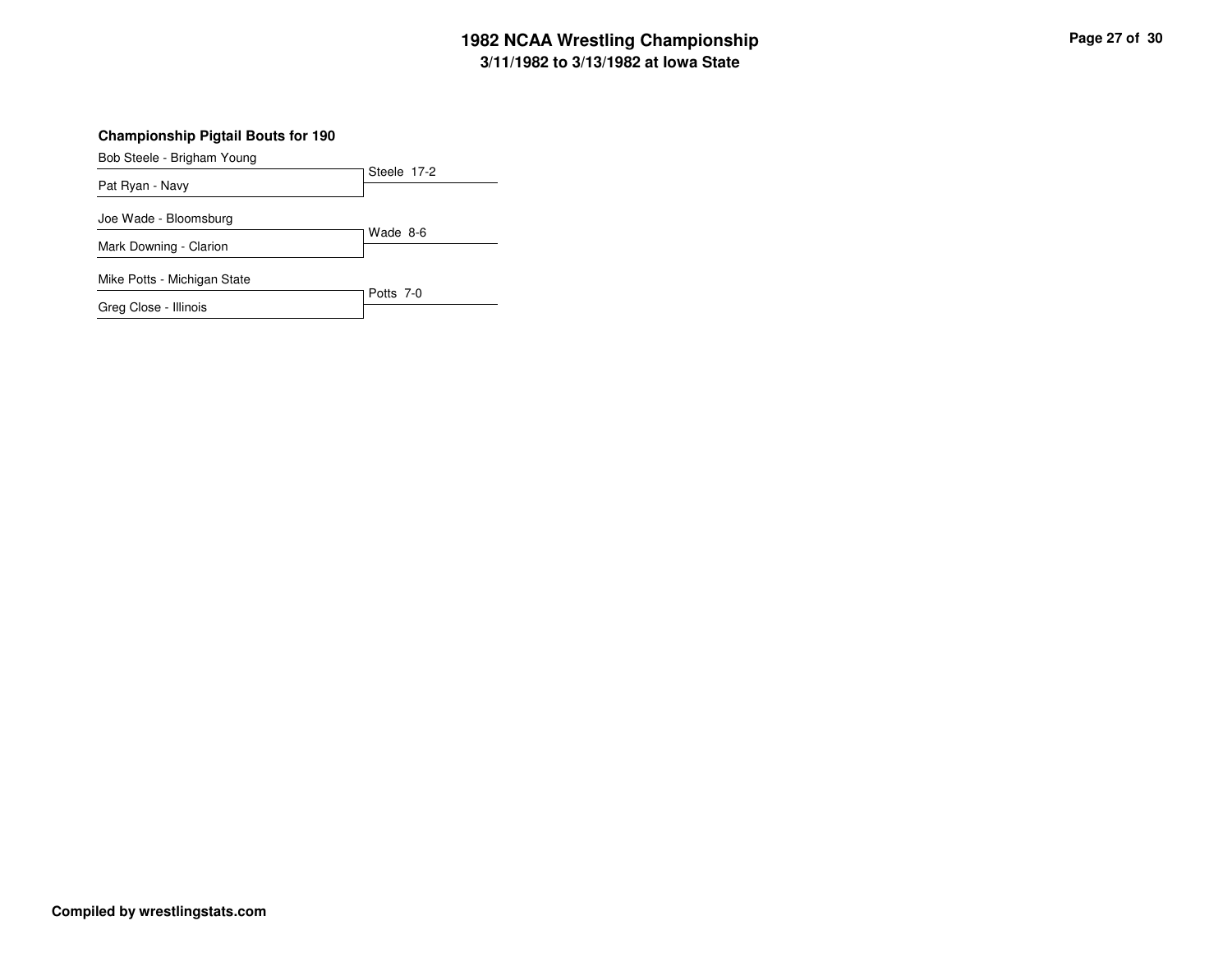### **3/11/1982 to 3/13/1982 at Iowa State 1982 NCAA Wrestling Championship Page <sup>27</sup> of <sup>30</sup>**

#### **Championship Pigtail Bouts for 190**

Bob Steele - Brigham Young

| Pat Ryan - Navy             | Steele 17-2 |  |  |
|-----------------------------|-------------|--|--|
|                             |             |  |  |
| Joe Wade - Bloomsburg       |             |  |  |
|                             | Wade 8-6    |  |  |
| Mark Downing - Clarion      |             |  |  |
| Mike Potts - Michigan State |             |  |  |
|                             | Potts 7-0   |  |  |

Greg Close - Illinois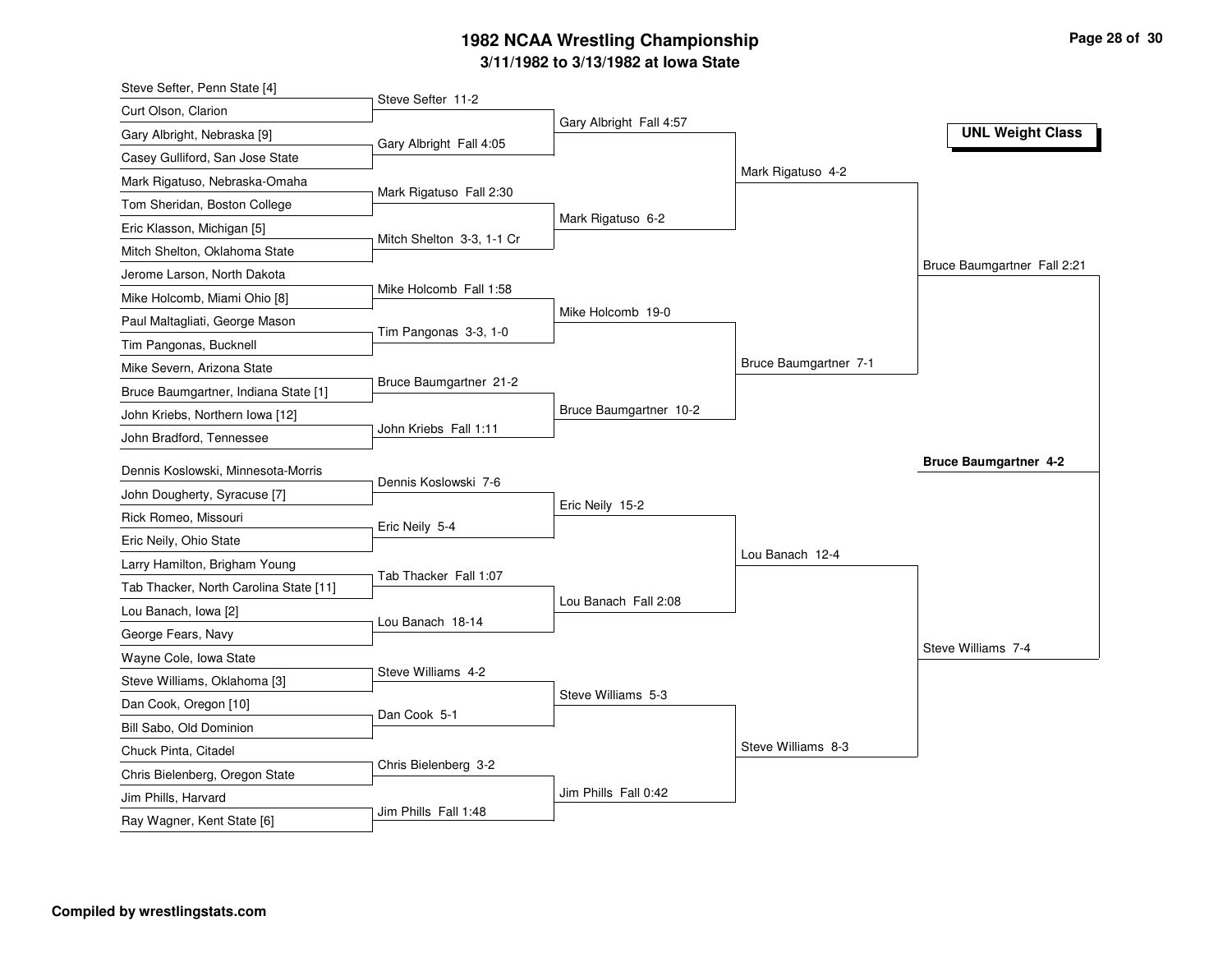## **3/11/1982 to 3/13/1982 at Iowa State 1982 NCAA Wrestling Championship Page <sup>28</sup> of <sup>30</sup>**

| Steve Sefter, Penn State [4]           |                           |                         |                       |                              |
|----------------------------------------|---------------------------|-------------------------|-----------------------|------------------------------|
| Curt Olson, Clarion                    | Steve Sefter 11-2         |                         |                       |                              |
| Gary Albright, Nebraska [9]            | Gary Albright Fall 4:05   | Gary Albright Fall 4:57 |                       | <b>UNL Weight Class</b>      |
| Casey Gulliford, San Jose State        |                           |                         |                       |                              |
| Mark Rigatuso, Nebraska-Omaha          |                           |                         | Mark Rigatuso 4-2     |                              |
| Tom Sheridan, Boston College           | Mark Rigatuso Fall 2:30   |                         |                       |                              |
| Eric Klasson, Michigan [5]             |                           | Mark Rigatuso 6-2       |                       |                              |
| Mitch Shelton, Oklahoma State          | Mitch Shelton 3-3, 1-1 Cr |                         |                       |                              |
| Jerome Larson, North Dakota            |                           |                         |                       | Bruce Baumgartner Fall 2:21  |
| Mike Holcomb, Miami Ohio [8]           | Mike Holcomb Fall 1:58    |                         |                       |                              |
| Paul Maltagliati, George Mason         |                           | Mike Holcomb 19-0       |                       |                              |
| Tim Pangonas, Bucknell                 | Tim Pangonas 3-3, 1-0     |                         |                       |                              |
| Mike Severn, Arizona State             |                           |                         | Bruce Baumgartner 7-1 |                              |
| Bruce Baumgartner, Indiana State [1]   | Bruce Baumgartner 21-2    |                         |                       |                              |
| John Kriebs, Northern Iowa [12]        |                           | Bruce Baumgartner 10-2  |                       |                              |
| John Bradford, Tennessee               | John Kriebs Fall 1:11     |                         |                       |                              |
| Dennis Koslowski, Minnesota-Morris     |                           |                         |                       | <b>Bruce Baumgartner 4-2</b> |
| John Dougherty, Syracuse [7]           | Dennis Koslowski 7-6      |                         |                       |                              |
| Rick Romeo, Missouri                   |                           | Eric Neily 15-2         |                       |                              |
| Eric Neily, Ohio State                 | Eric Neily 5-4            |                         |                       |                              |
| Larry Hamilton, Brigham Young          |                           |                         | Lou Banach 12-4       |                              |
| Tab Thacker, North Carolina State [11] | Tab Thacker Fall 1:07     |                         |                       |                              |
|                                        |                           | Lou Banach Fall 2:08    |                       |                              |
| Lou Banach, Iowa [2]                   | Lou Banach 18-14          |                         |                       |                              |
| George Fears, Navy                     |                           |                         |                       | Steve Williams 7-4           |
| Wayne Cole, Iowa State                 | Steve Williams 4-2        |                         |                       |                              |
| Steve Williams, Oklahoma [3]           |                           | Steve Williams 5-3      |                       |                              |
| Dan Cook, Oregon [10]                  | Dan Cook 5-1              |                         |                       |                              |
| Bill Sabo, Old Dominion                |                           |                         | Steve Williams 8-3    |                              |
| Chuck Pinta, Citadel                   | Chris Bielenberg 3-2      |                         |                       |                              |
| Chris Bielenberg, Oregon State         |                           | Jim Phills Fall 0:42    |                       |                              |
| Jim Phills, Harvard                    | Jim Phills Fall 1:48      |                         |                       |                              |
| Ray Wagner, Kent State [6]             |                           |                         |                       |                              |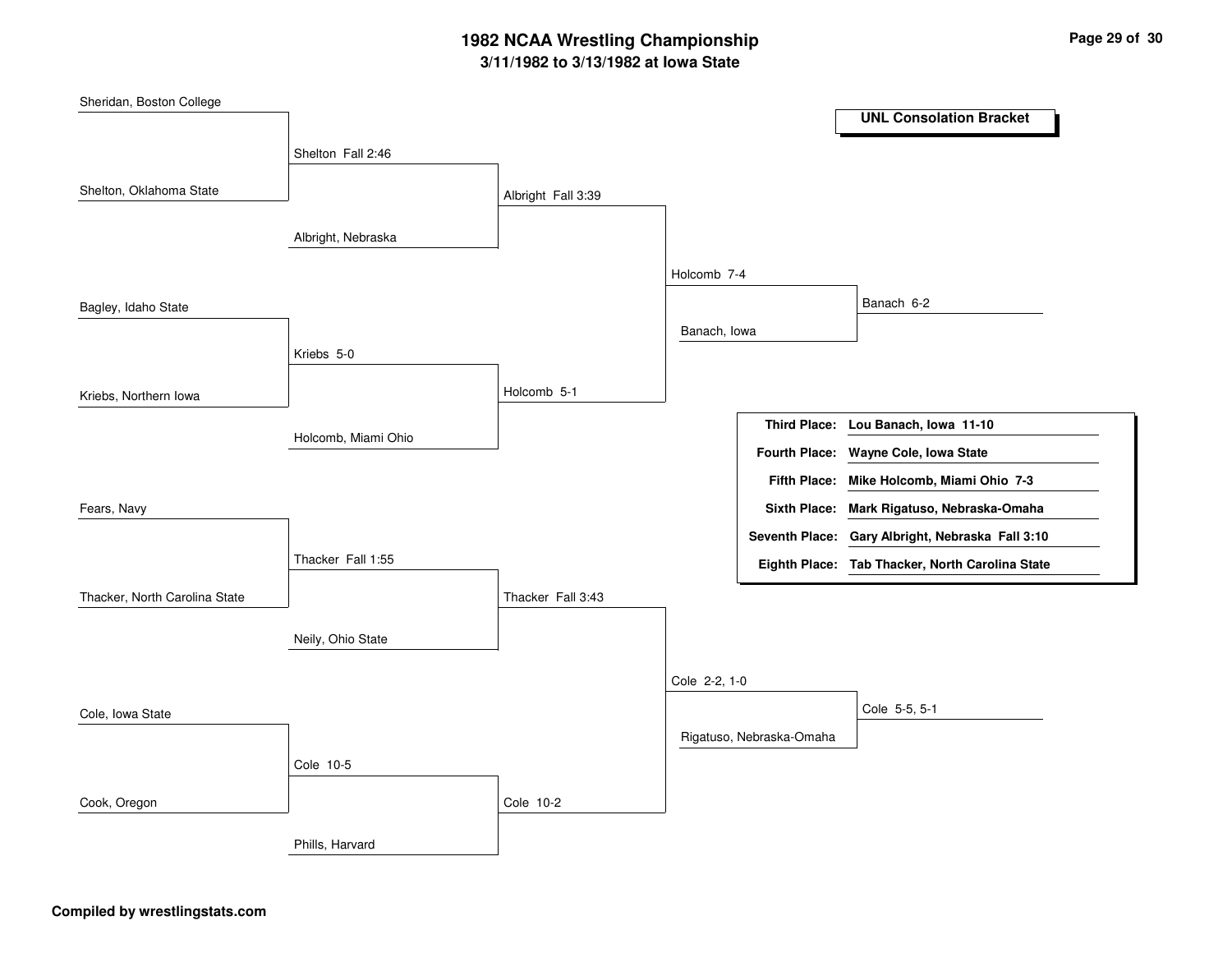## **3/11/1982 to 3/13/1982 at Iowa State 1982 NCAA Wrestling Championship Page <sup>29</sup> of <sup>30</sup>**